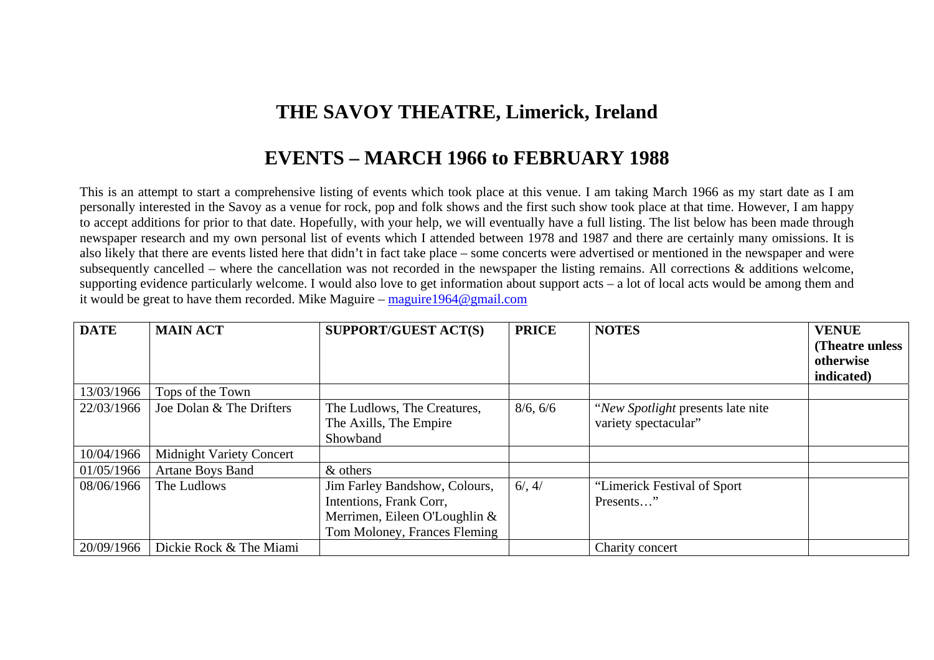## **THE SAVOY THEATRE, Limerick, Ireland**

## **EVENTS – MARCH 1966 to FEBRUARY 1988**

This is an attempt to start a comprehensive listing of events which took place at this venue. I am taking March 1966 as my start date as I am personally interested in the Savoy as a venue for rock, pop and folk shows and the first such show took place at that time. However, I am happy to accept additions for prior to that date. Hopefully, with your help, we will eventually have a full listing. The list below has been made through newspaper research and my own personal list of events which I attended between 1978 and 1987 and there are certainly many omissions. It is also likely that there are events listed here that didn't in fact take place – some concerts were advertised or mentioned in the newspaper and were subsequently cancelled – where the cancellation was not recorded in the newspaper the listing remains. All corrections & additions welcome, supporting evidence particularly welcome. I would also love to get information about support acts – a lot of local acts would be among them and it would be great to have them recorded. Mike Maguire – maguire1964@gmail.com

| <b>DATE</b> | <b>MAIN ACT</b>                 | <b>SUPPORT/GUEST ACT(S)</b>                                                                                               | <b>PRICE</b> | <b>NOTES</b>                                               | <b>VENUE</b><br>(Theatre unless)<br>otherwise<br>indicated) |
|-------------|---------------------------------|---------------------------------------------------------------------------------------------------------------------------|--------------|------------------------------------------------------------|-------------------------------------------------------------|
| 13/03/1966  | Tops of the Town                |                                                                                                                           |              |                                                            |                                                             |
| 22/03/1966  | Joe Dolan & The Drifters        | The Ludlows, The Creatures,<br>The Axills, The Empire<br>Showband                                                         | 8/6, 6/6     | "New Spotlight presents late nite"<br>variety spectacular" |                                                             |
| 10/04/1966  | <b>Midnight Variety Concert</b> |                                                                                                                           |              |                                                            |                                                             |
| 01/05/1966  | <b>Artane Boys Band</b>         | & others                                                                                                                  |              |                                                            |                                                             |
| 08/06/1966  | The Ludlows                     | Jim Farley Bandshow, Colours,<br>Intentions, Frank Corr,<br>Merrimen, Eileen O'Loughlin &<br>Tom Moloney, Frances Fleming | 6/, 4/       | "Limerick Festival of Sport<br>Presents"                   |                                                             |
| 20/09/1966  | Dickie Rock & The Miami         |                                                                                                                           |              | Charity concert                                            |                                                             |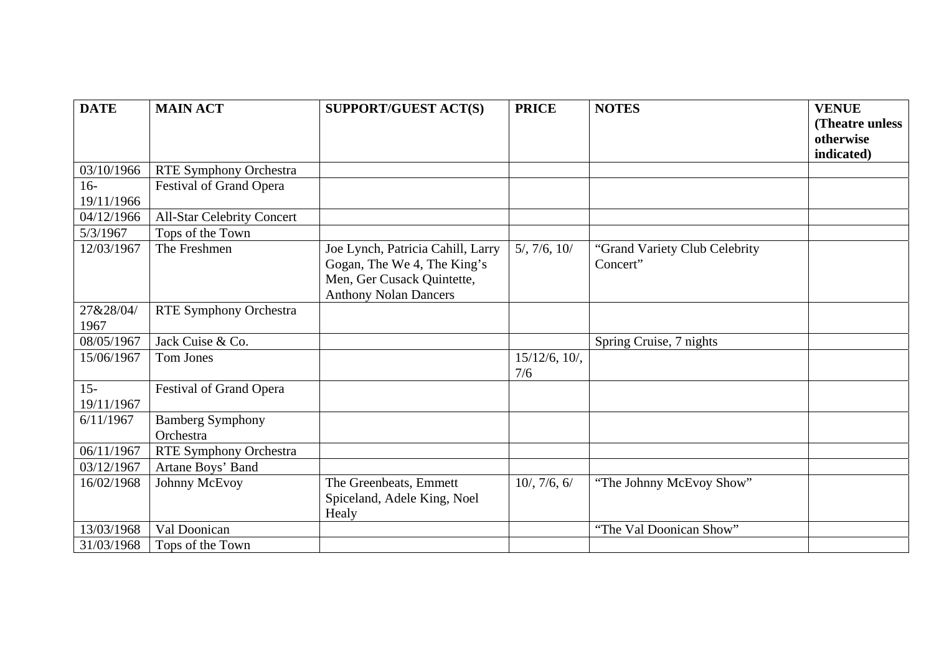| <b>DATE</b> | <b>MAIN ACT</b>                   | <b>SUPPORT/GUEST ACT(S)</b>       | <b>PRICE</b>         | <b>NOTES</b>                  | <b>VENUE</b>                  |
|-------------|-----------------------------------|-----------------------------------|----------------------|-------------------------------|-------------------------------|
|             |                                   |                                   |                      |                               | (Theatre unless)<br>otherwise |
|             |                                   |                                   |                      |                               | indicated)                    |
| 03/10/1966  | RTE Symphony Orchestra            |                                   |                      |                               |                               |
| $16-$       | Festival of Grand Opera           |                                   |                      |                               |                               |
| 19/11/1966  |                                   |                                   |                      |                               |                               |
| 04/12/1966  | <b>All-Star Celebrity Concert</b> |                                   |                      |                               |                               |
| 5/3/1967    | Tops of the Town                  |                                   |                      |                               |                               |
| 12/03/1967  | The Freshmen                      | Joe Lynch, Patricia Cahill, Larry | $5/$ , $7/6$ , $10/$ | "Grand Variety Club Celebrity |                               |
|             |                                   | Gogan, The We 4, The King's       |                      | Concert"                      |                               |
|             |                                   | Men, Ger Cusack Quintette,        |                      |                               |                               |
|             |                                   | <b>Anthony Nolan Dancers</b>      |                      |                               |                               |
| 27&28/04/   | <b>RTE Symphony Orchestra</b>     |                                   |                      |                               |                               |
| 1967        |                                   |                                   |                      |                               |                               |
| 08/05/1967  | Jack Cuise & Co.                  |                                   |                      | Spring Cruise, 7 nights       |                               |
| 15/06/1967  | Tom Jones                         |                                   | $15/12/6$ , $10/$ ,  |                               |                               |
|             |                                   |                                   | 7/6                  |                               |                               |
| $15 -$      | Festival of Grand Opera           |                                   |                      |                               |                               |
| 19/11/1967  |                                   |                                   |                      |                               |                               |
| 6/11/1967   | <b>Bamberg Symphony</b>           |                                   |                      |                               |                               |
|             | Orchestra                         |                                   |                      |                               |                               |
| 06/11/1967  | <b>RTE Symphony Orchestra</b>     |                                   |                      |                               |                               |
| 03/12/1967  | Artane Boys' Band                 |                                   |                      |                               |                               |
| 16/02/1968  | Johnny McEvoy                     | The Greenbeats, Emmett            | $10/$ , 7/6, 6/      | "The Johnny McEvoy Show"      |                               |
|             |                                   | Spiceland, Adele King, Noel       |                      |                               |                               |
|             |                                   | Healy                             |                      |                               |                               |
| 13/03/1968  | Val Doonican                      |                                   |                      | "The Val Doonican Show"       |                               |
| 31/03/1968  | Tops of the Town                  |                                   |                      |                               |                               |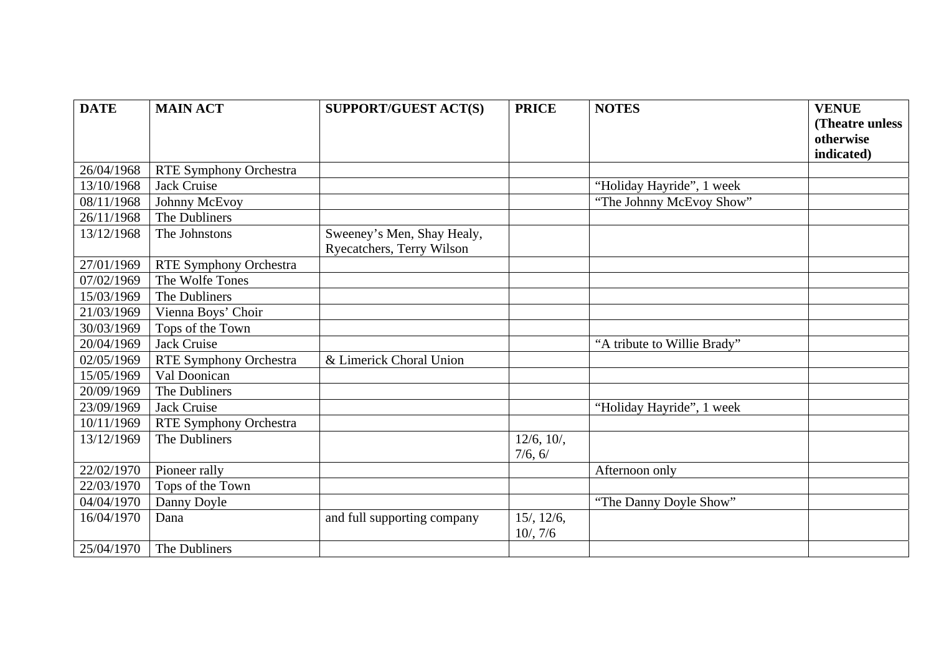| <b>DATE</b> | <b>MAIN ACT</b>               | <b>SUPPORT/GUEST ACT(S)</b> | <b>PRICE</b>     | <b>NOTES</b>                | <b>VENUE</b>                 |
|-------------|-------------------------------|-----------------------------|------------------|-----------------------------|------------------------------|
|             |                               |                             |                  |                             | (Theatre unless<br>otherwise |
|             |                               |                             |                  |                             | indicated)                   |
| 26/04/1968  | RTE Symphony Orchestra        |                             |                  |                             |                              |
| 13/10/1968  | <b>Jack Cruise</b>            |                             |                  | "Holiday Hayride", 1 week   |                              |
| 08/11/1968  | Johnny McEvoy                 |                             |                  | "The Johnny McEvoy Show"    |                              |
| 26/11/1968  | The Dubliners                 |                             |                  |                             |                              |
| 13/12/1968  | The Johnstons                 | Sweeney's Men, Shay Healy,  |                  |                             |                              |
|             |                               | Ryecatchers, Terry Wilson   |                  |                             |                              |
| 27/01/1969  | <b>RTE Symphony Orchestra</b> |                             |                  |                             |                              |
| 07/02/1969  | The Wolfe Tones               |                             |                  |                             |                              |
| 15/03/1969  | The Dubliners                 |                             |                  |                             |                              |
| 21/03/1969  | Vienna Boys' Choir            |                             |                  |                             |                              |
| 30/03/1969  | Tops of the Town              |                             |                  |                             |                              |
| 20/04/1969  | <b>Jack Cruise</b>            |                             |                  | "A tribute to Willie Brady" |                              |
| 02/05/1969  | <b>RTE Symphony Orchestra</b> | & Limerick Choral Union     |                  |                             |                              |
| 15/05/1969  | Val Doonican                  |                             |                  |                             |                              |
| 20/09/1969  | The Dubliners                 |                             |                  |                             |                              |
| 23/09/1969  | <b>Jack Cruise</b>            |                             |                  | "Holiday Hayride", 1 week   |                              |
| 10/11/1969  | <b>RTE Symphony Orchestra</b> |                             |                  |                             |                              |
| 13/12/1969  | The Dubliners                 |                             | 12/6, 10/        |                             |                              |
|             |                               |                             | 7/6, 6/          |                             |                              |
| 22/02/1970  | Pioneer rally                 |                             |                  | Afternoon only              |                              |
| 22/03/1970  | Tops of the Town              |                             |                  |                             |                              |
| 04/04/1970  | Danny Doyle                   |                             |                  | "The Danny Doyle Show"      |                              |
| 16/04/1970  | Dana                          | and full supporting company | $15/$ , $12/6$ , |                             |                              |
|             |                               |                             | 10/7/6           |                             |                              |
| 25/04/1970  | The Dubliners                 |                             |                  |                             |                              |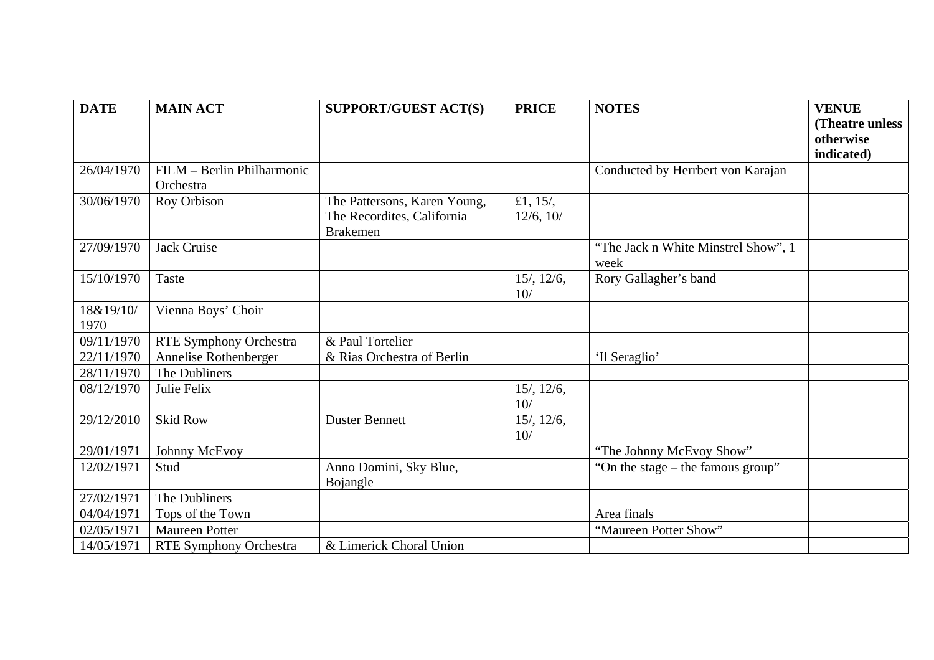| <b>DATE</b>       | <b>MAIN ACT</b>               | <b>SUPPORT/GUEST ACT(S)</b>                                                   | <b>PRICE</b>             | <b>NOTES</b>                                | <b>VENUE</b><br>(Theatre unless |
|-------------------|-------------------------------|-------------------------------------------------------------------------------|--------------------------|---------------------------------------------|---------------------------------|
|                   |                               |                                                                               |                          |                                             | otherwise                       |
|                   |                               |                                                                               |                          |                                             | indicated)                      |
| 26/04/1970        | FILM - Berlin Philharmonic    |                                                                               |                          | Conducted by Herrbert von Karajan           |                                 |
|                   | Orchestra                     |                                                                               |                          |                                             |                                 |
| 30/06/1970        | Roy Orbison                   | The Pattersons, Karen Young,<br>The Recordites, California<br><b>Brakemen</b> | £1, $15/$ ,<br>12/6, 10/ |                                             |                                 |
| 27/09/1970        | <b>Jack Cruise</b>            |                                                                               |                          | "The Jack n White Minstrel Show", 1<br>week |                                 |
| 15/10/1970        | Taste                         |                                                                               | $15/$ , $12/6$ ,<br>10/  | Rory Gallagher's band                       |                                 |
| 18&19/10/<br>1970 | Vienna Boys' Choir            |                                                                               |                          |                                             |                                 |
| 09/11/1970        | RTE Symphony Orchestra        | & Paul Tortelier                                                              |                          |                                             |                                 |
| 22/11/1970        | Annelise Rothenberger         | & Rias Orchestra of Berlin                                                    |                          | 'Il Seraglio'                               |                                 |
| 28/11/1970        | The Dubliners                 |                                                                               |                          |                                             |                                 |
| 08/12/1970        | Julie Felix                   |                                                                               | $15/$ , $12/6$ ,<br>10/  |                                             |                                 |
| 29/12/2010        | <b>Skid Row</b>               | <b>Duster Bennett</b>                                                         | $15/$ , $12/6$ ,<br>10/  |                                             |                                 |
| 29/01/1971        | Johnny McEvoy                 |                                                                               |                          | "The Johnny McEvoy Show"                    |                                 |
| 12/02/1971        | Stud                          | Anno Domini, Sky Blue,<br>Bojangle                                            |                          | "On the stage – the famous group"           |                                 |
| 27/02/1971        | The Dubliners                 |                                                                               |                          |                                             |                                 |
| 04/04/1971        | Tops of the Town              |                                                                               |                          | Area finals                                 |                                 |
| 02/05/1971        | <b>Maureen Potter</b>         |                                                                               |                          | "Maureen Potter Show"                       |                                 |
| 14/05/1971        | <b>RTE Symphony Orchestra</b> | & Limerick Choral Union                                                       |                          |                                             |                                 |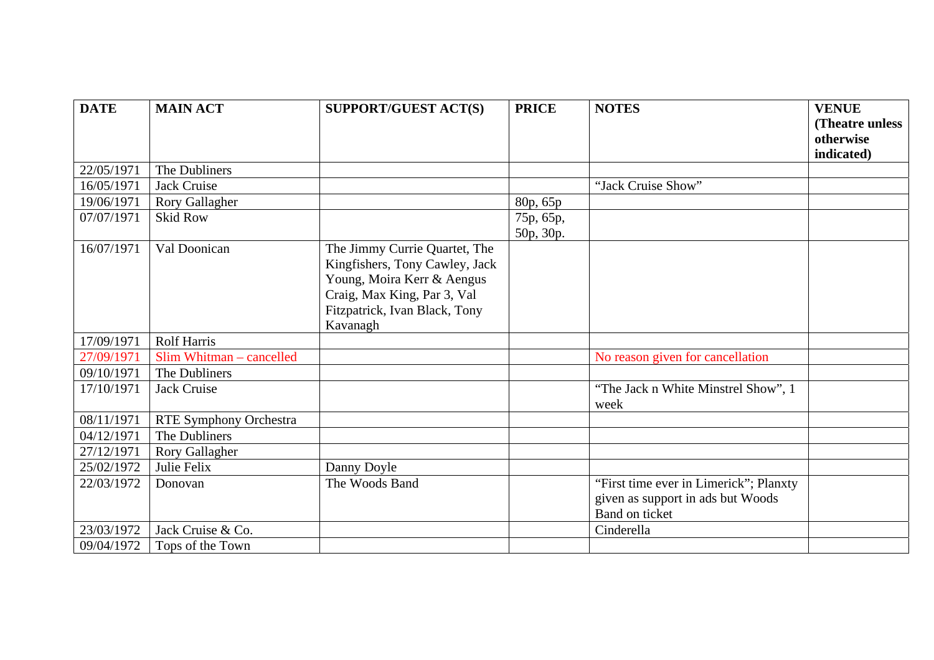| <b>DATE</b> | <b>MAIN ACT</b>               | <b>SUPPORT/GUEST ACT(S)</b>    | <b>PRICE</b> | <b>NOTES</b>                           | <b>VENUE</b>    |
|-------------|-------------------------------|--------------------------------|--------------|----------------------------------------|-----------------|
|             |                               |                                |              |                                        | (Theatre unless |
|             |                               |                                |              |                                        | otherwise       |
|             |                               |                                |              |                                        | indicated)      |
| 22/05/1971  | The Dubliners                 |                                |              |                                        |                 |
| 16/05/1971  | <b>Jack Cruise</b>            |                                |              | "Jack Cruise Show"                     |                 |
| 19/06/1971  | Rory Gallagher                |                                | 80p, 65p     |                                        |                 |
| 07/07/1971  | <b>Skid Row</b>               |                                | 75p, 65p,    |                                        |                 |
|             |                               |                                | 50p, 30p.    |                                        |                 |
| 16/07/1971  | Val Doonican                  | The Jimmy Currie Quartet, The  |              |                                        |                 |
|             |                               | Kingfishers, Tony Cawley, Jack |              |                                        |                 |
|             |                               | Young, Moira Kerr & Aengus     |              |                                        |                 |
|             |                               | Craig, Max King, Par 3, Val    |              |                                        |                 |
|             |                               | Fitzpatrick, Ivan Black, Tony  |              |                                        |                 |
|             |                               | Kavanagh                       |              |                                        |                 |
| 17/09/1971  | <b>Rolf Harris</b>            |                                |              |                                        |                 |
| 27/09/1971  | Slim Whitman – cancelled      |                                |              | No reason given for cancellation       |                 |
| 09/10/1971  | The Dubliners                 |                                |              |                                        |                 |
| 17/10/1971  | <b>Jack Cruise</b>            |                                |              | "The Jack n White Minstrel Show", 1    |                 |
|             |                               |                                |              | week                                   |                 |
| 08/11/1971  | <b>RTE Symphony Orchestra</b> |                                |              |                                        |                 |
| 04/12/1971  | The Dubliners                 |                                |              |                                        |                 |
| 27/12/1971  | <b>Rory Gallagher</b>         |                                |              |                                        |                 |
| 25/02/1972  | Julie Felix                   | Danny Doyle                    |              |                                        |                 |
| 22/03/1972  | Donovan                       | The Woods Band                 |              | "First time ever in Limerick"; Planxty |                 |
|             |                               |                                |              | given as support in ads but Woods      |                 |
|             |                               |                                |              | Band on ticket                         |                 |
| 23/03/1972  | Jack Cruise & Co.             |                                |              | Cinderella                             |                 |
| 09/04/1972  | Tops of the Town              |                                |              |                                        |                 |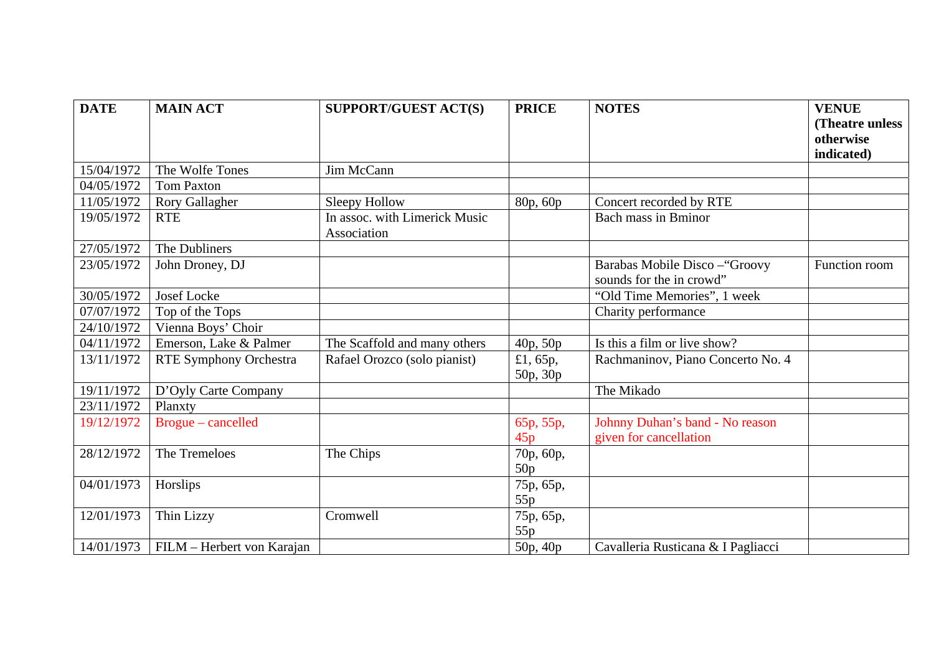| <b>DATE</b> | <b>MAIN ACT</b>               | <b>SUPPORT/GUEST ACT(S)</b>                  | <b>PRICE</b>            | <b>NOTES</b>                                              | <b>VENUE</b>            |
|-------------|-------------------------------|----------------------------------------------|-------------------------|-----------------------------------------------------------|-------------------------|
|             |                               |                                              |                         |                                                           | (Theatre unless         |
|             |                               |                                              |                         |                                                           | otherwise<br>indicated) |
| 15/04/1972  | The Wolfe Tones               | Jim McCann                                   |                         |                                                           |                         |
| 04/05/1972  | <b>Tom Paxton</b>             |                                              |                         |                                                           |                         |
|             |                               |                                              |                         |                                                           |                         |
| 11/05/1972  | <b>Rory Gallagher</b>         | Sleepy Hollow                                | 80p, 60p                | Concert recorded by RTE                                   |                         |
| 19/05/1972  | <b>RTE</b>                    | In assoc. with Limerick Music<br>Association |                         | <b>Bach mass in Bminor</b>                                |                         |
| 27/05/1972  | The Dubliners                 |                                              |                         |                                                           |                         |
| 23/05/1972  | John Droney, DJ               |                                              |                         | Barabas Mobile Disco-"Groovy                              | Function room           |
|             |                               |                                              |                         | sounds for the in crowd"                                  |                         |
| 30/05/1972  | <b>Josef Locke</b>            |                                              |                         | "Old Time Memories", 1 week                               |                         |
| 07/07/1972  | Top of the Tops               |                                              |                         | Charity performance                                       |                         |
| 24/10/1972  | Vienna Boys' Choir            |                                              |                         |                                                           |                         |
| 04/11/1972  | Emerson, Lake & Palmer        | The Scaffold and many others                 | 40p, 50p                | Is this a film or live show?                              |                         |
| 13/11/1972  | <b>RTE Symphony Orchestra</b> | Rafael Orozco (solo pianist)                 | £1,65 $p$ ,<br>50p, 30p | Rachmaninov, Piano Concerto No. 4                         |                         |
| 19/11/1972  | D'Oyly Carte Company          |                                              |                         | The Mikado                                                |                         |
| 23/11/1972  | Planxty                       |                                              |                         |                                                           |                         |
| 19/12/1972  | Brogue - cancelled            |                                              | 65p, 55p,<br>45p        | Johnny Duhan's band - No reason<br>given for cancellation |                         |
| 28/12/1972  | The Tremeloes                 | The Chips                                    | 70p, 60p,<br>50p        |                                                           |                         |
| 04/01/1973  | Horslips                      |                                              | 75p, 65p,<br>55p        |                                                           |                         |
| 12/01/1973  | Thin Lizzy                    | Cromwell                                     | 75p, 65p,<br>55p        |                                                           |                         |
| 14/01/1973  | FILM – Herbert von Karajan    |                                              | 50p, 40p                | Cavalleria Rusticana & I Pagliacci                        |                         |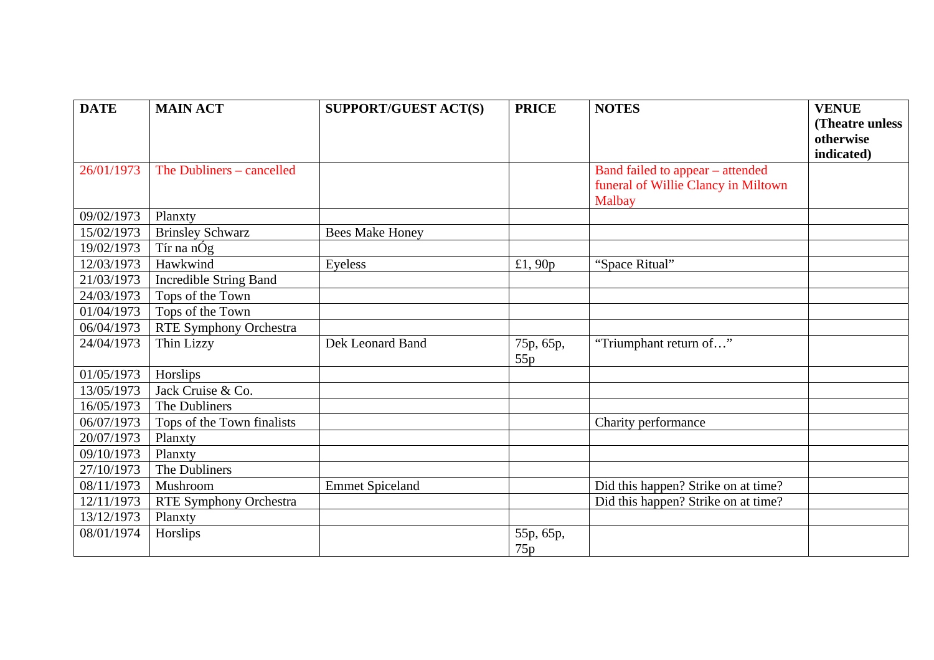| <b>DATE</b> | <b>MAIN ACT</b>               | <b>SUPPORT/GUEST ACT(S)</b> | <b>PRICE</b>     | <b>NOTES</b>                                                                      | <b>VENUE</b>    |
|-------------|-------------------------------|-----------------------------|------------------|-----------------------------------------------------------------------------------|-----------------|
|             |                               |                             |                  |                                                                                   | (Theatre unless |
|             |                               |                             |                  |                                                                                   | otherwise       |
|             |                               |                             |                  |                                                                                   | indicated)      |
| 26/01/1973  | The Dubliners – cancelled     |                             |                  | Band failed to appear – attended<br>funeral of Willie Clancy in Miltown<br>Malbay |                 |
| 09/02/1973  | Planxty                       |                             |                  |                                                                                   |                 |
| 15/02/1973  | <b>Brinsley Schwarz</b>       | <b>Bees Make Honey</b>      |                  |                                                                                   |                 |
| 19/02/1973  | Tír na nÓg                    |                             |                  |                                                                                   |                 |
| 12/03/1973  | Hawkwind                      | Eyeless                     | £1,90 $p$        | "Space Ritual"                                                                    |                 |
| 21/03/1973  | <b>Incredible String Band</b> |                             |                  |                                                                                   |                 |
| 24/03/1973  | Tops of the Town              |                             |                  |                                                                                   |                 |
| 01/04/1973  | Tops of the Town              |                             |                  |                                                                                   |                 |
| 06/04/1973  | RTE Symphony Orchestra        |                             |                  |                                                                                   |                 |
| 24/04/1973  | Thin Lizzy                    | Dek Leonard Band            | 75p, 65p,<br>55p | "Triumphant return of"                                                            |                 |
| 01/05/1973  | Horslips                      |                             |                  |                                                                                   |                 |
| 13/05/1973  | Jack Cruise & Co.             |                             |                  |                                                                                   |                 |
| 16/05/1973  | The Dubliners                 |                             |                  |                                                                                   |                 |
| 06/07/1973  | Tops of the Town finalists    |                             |                  | Charity performance                                                               |                 |
| 20/07/1973  | Planxty                       |                             |                  |                                                                                   |                 |
| 09/10/1973  | Planxty                       |                             |                  |                                                                                   |                 |
| 27/10/1973  | The Dubliners                 |                             |                  |                                                                                   |                 |
| 08/11/1973  | Mushroom                      | <b>Emmet Spiceland</b>      |                  | Did this happen? Strike on at time?                                               |                 |
| 12/11/1973  | RTE Symphony Orchestra        |                             |                  | Did this happen? Strike on at time?                                               |                 |
| 13/12/1973  | Planxty                       |                             |                  |                                                                                   |                 |
| 08/01/1974  | Horslips                      |                             | 55p, 65p,<br>75p |                                                                                   |                 |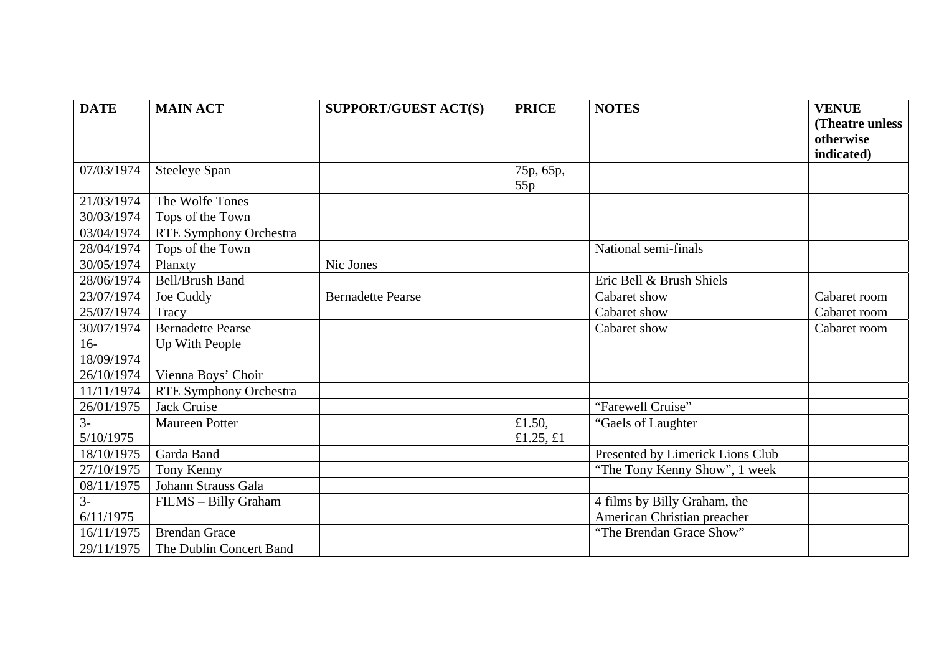| <b>DATE</b> | <b>MAIN ACT</b>               | <b>SUPPORT/GUEST ACT(S)</b> | <b>PRICE</b>     | <b>NOTES</b>                     | <b>VENUE</b>    |
|-------------|-------------------------------|-----------------------------|------------------|----------------------------------|-----------------|
|             |                               |                             |                  |                                  | (Theatre unless |
|             |                               |                             |                  |                                  | otherwise       |
|             |                               |                             |                  |                                  | indicated)      |
| 07/03/1974  | <b>Steeleye Span</b>          |                             | 75p, 65p,<br>55p |                                  |                 |
| 21/03/1974  | The Wolfe Tones               |                             |                  |                                  |                 |
| 30/03/1974  | Tops of the Town              |                             |                  |                                  |                 |
| 03/04/1974  | <b>RTE Symphony Orchestra</b> |                             |                  |                                  |                 |
| 28/04/1974  | Tops of the Town              |                             |                  | National semi-finals             |                 |
| 30/05/1974  | Planxty                       | Nic Jones                   |                  |                                  |                 |
| 28/06/1974  | <b>Bell/Brush Band</b>        |                             |                  | Eric Bell & Brush Shiels         |                 |
| 23/07/1974  | Joe Cuddy                     | <b>Bernadette Pearse</b>    |                  | Cabaret show                     | Cabaret room    |
| 25/07/1974  | Tracy                         |                             |                  | Cabaret show                     | Cabaret room    |
| 30/07/1974  | <b>Bernadette Pearse</b>      |                             |                  | Cabaret show                     | Cabaret room    |
| $16-$       | Up With People                |                             |                  |                                  |                 |
| 18/09/1974  |                               |                             |                  |                                  |                 |
| 26/10/1974  | Vienna Boys' Choir            |                             |                  |                                  |                 |
| 11/11/1974  | RTE Symphony Orchestra        |                             |                  |                                  |                 |
| 26/01/1975  | Jack Cruise                   |                             |                  | "Farewell Cruise"                |                 |
| $3-$        | <b>Maureen Potter</b>         |                             | £1.50,           | "Gaels of Laughter"              |                 |
| 5/10/1975   |                               |                             | £1.25, $£1$      |                                  |                 |
| 18/10/1975  | Garda Band                    |                             |                  | Presented by Limerick Lions Club |                 |
| 27/10/1975  | Tony Kenny                    |                             |                  | "The Tony Kenny Show", 1 week    |                 |
| 08/11/1975  | Johann Strauss Gala           |                             |                  |                                  |                 |
| $3-$        | FILMS - Billy Graham          |                             |                  | 4 films by Billy Graham, the     |                 |
| 6/11/1975   |                               |                             |                  | American Christian preacher      |                 |
| 16/11/1975  | <b>Brendan Grace</b>          |                             |                  | "The Brendan Grace Show"         |                 |
| 29/11/1975  | The Dublin Concert Band       |                             |                  |                                  |                 |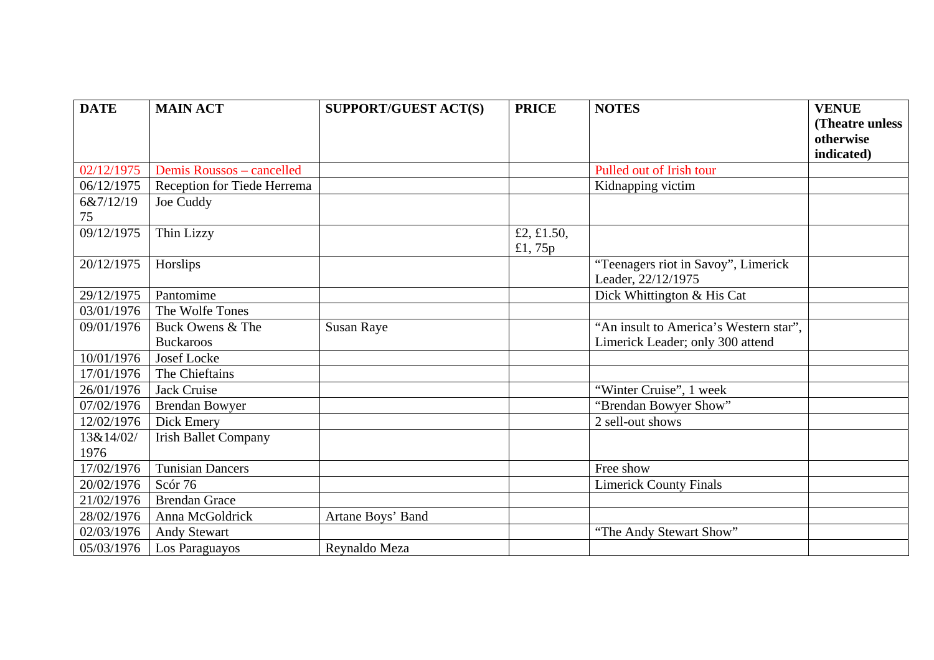| <b>DATE</b> | <b>MAIN ACT</b>             | <b>SUPPORT/GUEST ACT(S)</b> | <b>PRICE</b> | <b>NOTES</b>                           | <b>VENUE</b>    |
|-------------|-----------------------------|-----------------------------|--------------|----------------------------------------|-----------------|
|             |                             |                             |              |                                        | (Theatre unless |
|             |                             |                             |              |                                        | otherwise       |
|             |                             |                             |              |                                        | indicated)      |
| 02/12/1975  | Demis Roussos - cancelled   |                             |              | Pulled out of Irish tour               |                 |
| 06/12/1975  | Reception for Tiede Herrema |                             |              | Kidnapping victim                      |                 |
| 6&7/12/19   | Joe Cuddy                   |                             |              |                                        |                 |
| 75          |                             |                             |              |                                        |                 |
| 09/12/1975  | Thin Lizzy                  |                             | £2, £1.50,   |                                        |                 |
|             |                             |                             | £1,75 $p$    |                                        |                 |
| 20/12/1975  | Horslips                    |                             |              | "Teenagers riot in Savoy", Limerick    |                 |
|             |                             |                             |              | Leader, 22/12/1975                     |                 |
| 29/12/1975  | Pantomime                   |                             |              | Dick Whittington & His Cat             |                 |
| 03/01/1976  | The Wolfe Tones             |                             |              |                                        |                 |
| 09/01/1976  | Buck Owens & The            | <b>Susan Raye</b>           |              | "An insult to America's Western star", |                 |
|             | <b>Buckaroos</b>            |                             |              | Limerick Leader; only 300 attend       |                 |
| 10/01/1976  | <b>Josef Locke</b>          |                             |              |                                        |                 |
| 17/01/1976  | The Chieftains              |                             |              |                                        |                 |
| 26/01/1976  | Jack Cruise                 |                             |              | "Winter Cruise", 1 week                |                 |
| 07/02/1976  | <b>Brendan Bowyer</b>       |                             |              | "Brendan Bowyer Show"                  |                 |
| 12/02/1976  | Dick Emery                  |                             |              | 2 sell-out shows                       |                 |
| 13&14/02/   | <b>Irish Ballet Company</b> |                             |              |                                        |                 |
| 1976        |                             |                             |              |                                        |                 |
| 17/02/1976  | <b>Tunisian Dancers</b>     |                             |              | Free show                              |                 |
| 20/02/1976  | Scór 76                     |                             |              | <b>Limerick County Finals</b>          |                 |
| 21/02/1976  | <b>Brendan Grace</b>        |                             |              |                                        |                 |
| 28/02/1976  | Anna McGoldrick             | Artane Boys' Band           |              |                                        |                 |
| 02/03/1976  | <b>Andy Stewart</b>         |                             |              | "The Andy Stewart Show"                |                 |
| 05/03/1976  | Los Paraguayos              | Reynaldo Meza               |              |                                        |                 |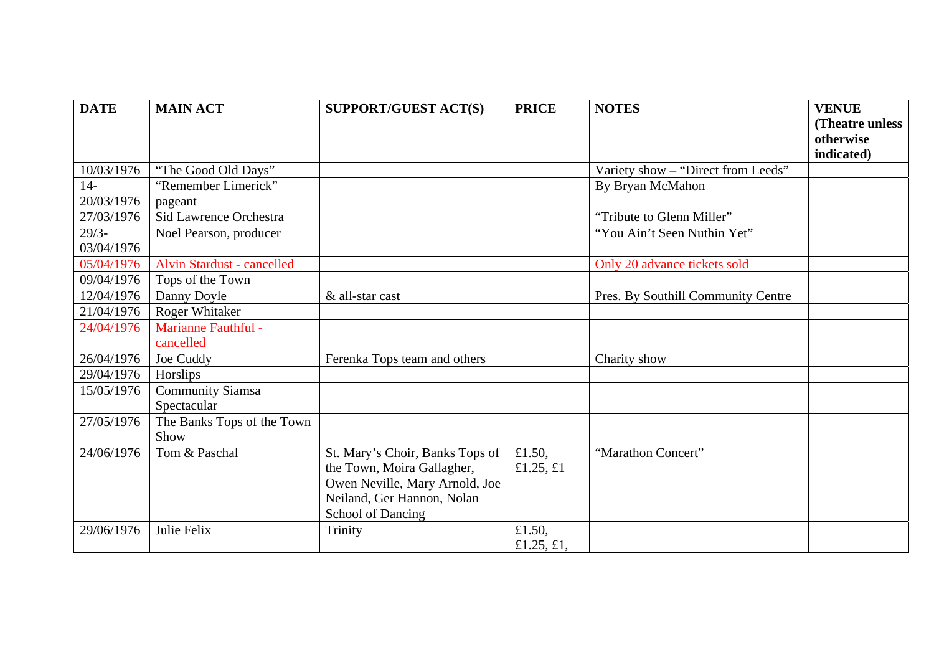| <b>DATE</b> | <b>MAIN ACT</b>                   | SUPPORT/GUEST ACT(S)            | <b>PRICE</b> | <b>NOTES</b>                       | <b>VENUE</b>    |
|-------------|-----------------------------------|---------------------------------|--------------|------------------------------------|-----------------|
|             |                                   |                                 |              |                                    | (Theatre unless |
|             |                                   |                                 |              |                                    | otherwise       |
|             |                                   |                                 |              |                                    | indicated)      |
| 10/03/1976  | "The Good Old Days"               |                                 |              | Variety show - "Direct from Leeds" |                 |
| $14-$       | "Remember Limerick"               |                                 |              | By Bryan McMahon                   |                 |
| 20/03/1976  | pageant                           |                                 |              |                                    |                 |
| 27/03/1976  | Sid Lawrence Orchestra            |                                 |              | "Tribute to Glenn Miller"          |                 |
| $29/3-$     | Noel Pearson, producer            |                                 |              | "You Ain't Seen Nuthin Yet"        |                 |
| 03/04/1976  |                                   |                                 |              |                                    |                 |
| 05/04/1976  | <b>Alvin Stardust - cancelled</b> |                                 |              | Only 20 advance tickets sold       |                 |
| 09/04/1976  | Tops of the Town                  |                                 |              |                                    |                 |
| 12/04/1976  | Danny Doyle                       | & all-star cast                 |              | Pres. By Southill Community Centre |                 |
| 21/04/1976  | <b>Roger Whitaker</b>             |                                 |              |                                    |                 |
| 24/04/1976  | <b>Marianne Fauthful -</b>        |                                 |              |                                    |                 |
|             | cancelled                         |                                 |              |                                    |                 |
| 26/04/1976  | Joe Cuddy                         | Ferenka Tops team and others    |              | Charity show                       |                 |
| 29/04/1976  | Horslips                          |                                 |              |                                    |                 |
| 15/05/1976  | Community Siamsa                  |                                 |              |                                    |                 |
|             | Spectacular                       |                                 |              |                                    |                 |
| 27/05/1976  | The Banks Tops of the Town        |                                 |              |                                    |                 |
|             | Show                              |                                 |              |                                    |                 |
| 24/06/1976  | Tom & Paschal                     | St. Mary's Choir, Banks Tops of | £1.50,       | "Marathon Concert"                 |                 |
|             |                                   | the Town, Moira Gallagher,      | £1.25, $£1$  |                                    |                 |
|             |                                   | Owen Neville, Mary Arnold, Joe  |              |                                    |                 |
|             |                                   | Neiland, Ger Hannon, Nolan      |              |                                    |                 |
|             |                                   | <b>School of Dancing</b>        |              |                                    |                 |
| 29/06/1976  | Julie Felix                       | Trinity                         | £1.50,       |                                    |                 |
|             |                                   |                                 | £1.25, £1,   |                                    |                 |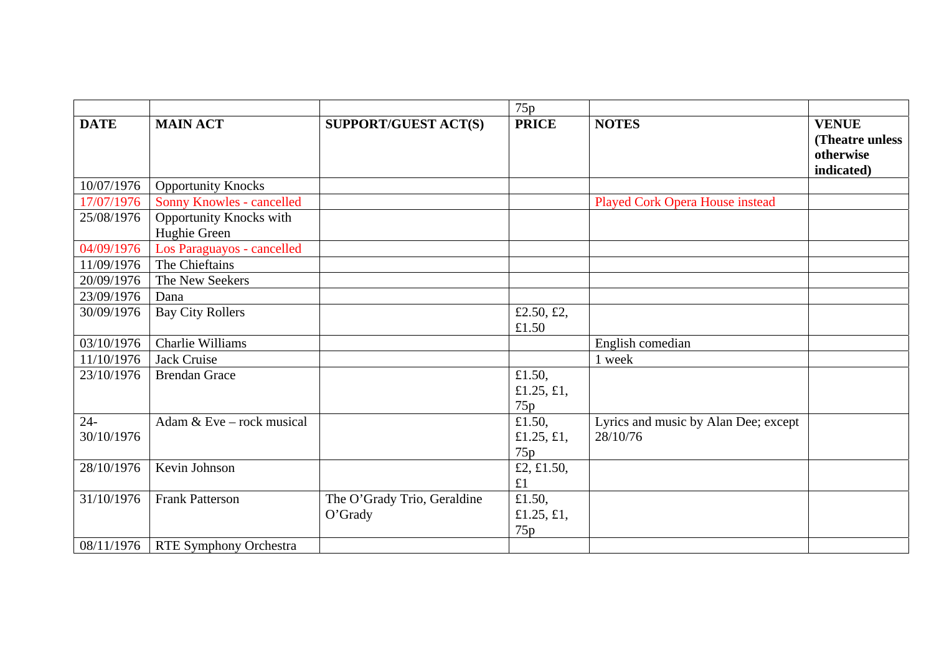|                      |                                                |                                        | 75p                         |                                                  |                                                            |
|----------------------|------------------------------------------------|----------------------------------------|-----------------------------|--------------------------------------------------|------------------------------------------------------------|
| <b>DATE</b>          | <b>MAIN ACT</b>                                | <b>SUPPORT/GUEST ACT(S)</b>            | <b>PRICE</b>                | <b>NOTES</b>                                     | <b>VENUE</b><br>(Theatre unless<br>otherwise<br>indicated) |
| 10/07/1976           | <b>Opportunity Knocks</b>                      |                                        |                             |                                                  |                                                            |
| 17/07/1976           | <b>Sonny Knowles - cancelled</b>               |                                        |                             | <b>Played Cork Opera House instead</b>           |                                                            |
| 25/08/1976           | <b>Opportunity Knocks with</b><br>Hughie Green |                                        |                             |                                                  |                                                            |
| 04/09/1976           | Los Paraguayos - cancelled                     |                                        |                             |                                                  |                                                            |
| 11/09/1976           | The Chieftains                                 |                                        |                             |                                                  |                                                            |
| 20/09/1976           | The New Seekers                                |                                        |                             |                                                  |                                                            |
| 23/09/1976           | Dana                                           |                                        |                             |                                                  |                                                            |
| 30/09/1976           | <b>Bay City Rollers</b>                        |                                        | £2.50, £2,<br>£1.50         |                                                  |                                                            |
| 03/10/1976           | Charlie Williams                               |                                        |                             | English comedian                                 |                                                            |
| 11/10/1976           | Jack Cruise                                    |                                        |                             | 1 week                                           |                                                            |
| 23/10/1976           | <b>Brendan Grace</b>                           |                                        | £1.50,<br>£1.25, £1,<br>75p |                                                  |                                                            |
| $24 -$<br>30/10/1976 | Adam & Eve – rock musical                      |                                        | £1.50,<br>£1.25, £1,<br>75p | Lyrics and music by Alan Dee; except<br>28/10/76 |                                                            |
| 28/10/1976           | Kevin Johnson                                  |                                        | £2, £1.50,<br>£1            |                                                  |                                                            |
| 31/10/1976           | <b>Frank Patterson</b>                         | The O'Grady Trio, Geraldine<br>O'Grady | £1.50,<br>£1.25, £1,<br>75p |                                                  |                                                            |
| 08/11/1976           | <b>RTE Symphony Orchestra</b>                  |                                        |                             |                                                  |                                                            |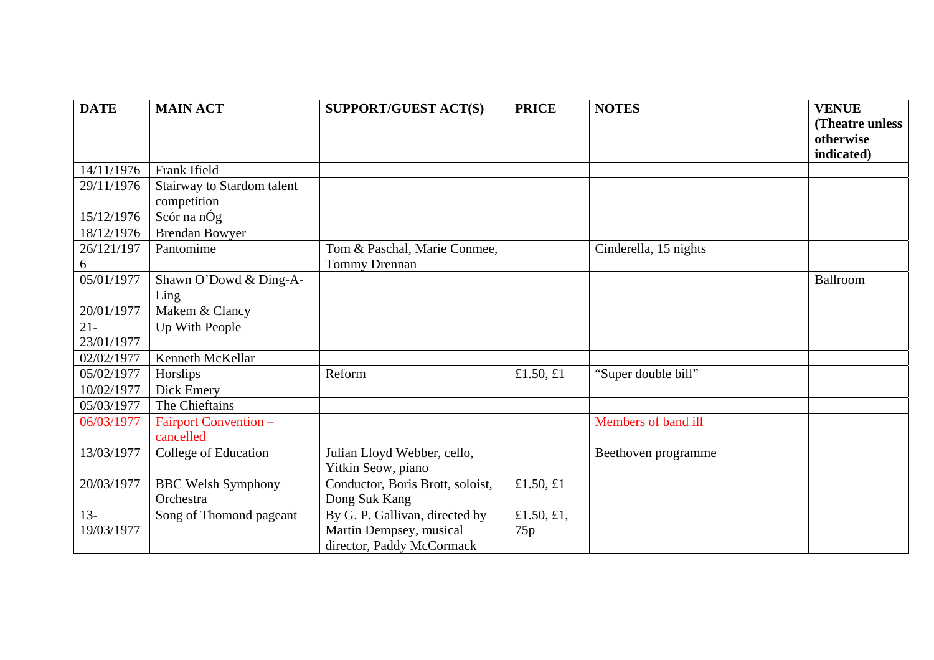| <b>DATE</b> | <b>MAIN ACT</b>            | <b>SUPPORT/GUEST ACT(S)</b>      | <b>PRICE</b> | <b>NOTES</b>          | <b>VENUE</b>    |
|-------------|----------------------------|----------------------------------|--------------|-----------------------|-----------------|
|             |                            |                                  |              |                       | (Theatre unless |
|             |                            |                                  |              |                       | otherwise       |
|             |                            |                                  |              |                       | indicated)      |
| 14/11/1976  | Frank Ifield               |                                  |              |                       |                 |
| 29/11/1976  | Stairway to Stardom talent |                                  |              |                       |                 |
|             | competition                |                                  |              |                       |                 |
| 15/12/1976  | Scór na nÓg                |                                  |              |                       |                 |
| 18/12/1976  | <b>Brendan Bowyer</b>      |                                  |              |                       |                 |
| 26/121/197  | Pantomime                  | Tom & Paschal, Marie Conmee,     |              | Cinderella, 15 nights |                 |
| 6           |                            | Tommy Drennan                    |              |                       |                 |
| 05/01/1977  | Shawn O'Dowd & Ding-A-     |                                  |              |                       | Ballroom        |
|             | Ling                       |                                  |              |                       |                 |
| 20/01/1977  | Makem & Clancy             |                                  |              |                       |                 |
| $21 -$      | Up With People             |                                  |              |                       |                 |
| 23/01/1977  |                            |                                  |              |                       |                 |
| 02/02/1977  | Kenneth McKellar           |                                  |              |                       |                 |
| 05/02/1977  | Horslips                   | Reform                           | £1.50, $£1$  | "Super double bill"   |                 |
| 10/02/1977  | Dick Emery                 |                                  |              |                       |                 |
| 05/03/1977  | The Chieftains             |                                  |              |                       |                 |
| 06/03/1977  | Fairport Convention -      |                                  |              | Members of band ill   |                 |
|             | cancelled                  |                                  |              |                       |                 |
| 13/03/1977  | College of Education       | Julian Lloyd Webber, cello,      |              | Beethoven programme   |                 |
|             |                            | Yitkin Seow, piano               |              |                       |                 |
| 20/03/1977  | <b>BBC Welsh Symphony</b>  | Conductor, Boris Brott, soloist, | £1.50, $£1$  |                       |                 |
|             | Orchestra                  | Dong Suk Kang                    |              |                       |                 |
| $13 -$      | Song of Thomond pageant    | By G. P. Gallivan, directed by   | £1.50, £1,   |                       |                 |
| 19/03/1977  |                            | Martin Dempsey, musical          | 75p          |                       |                 |
|             |                            | director, Paddy McCormack        |              |                       |                 |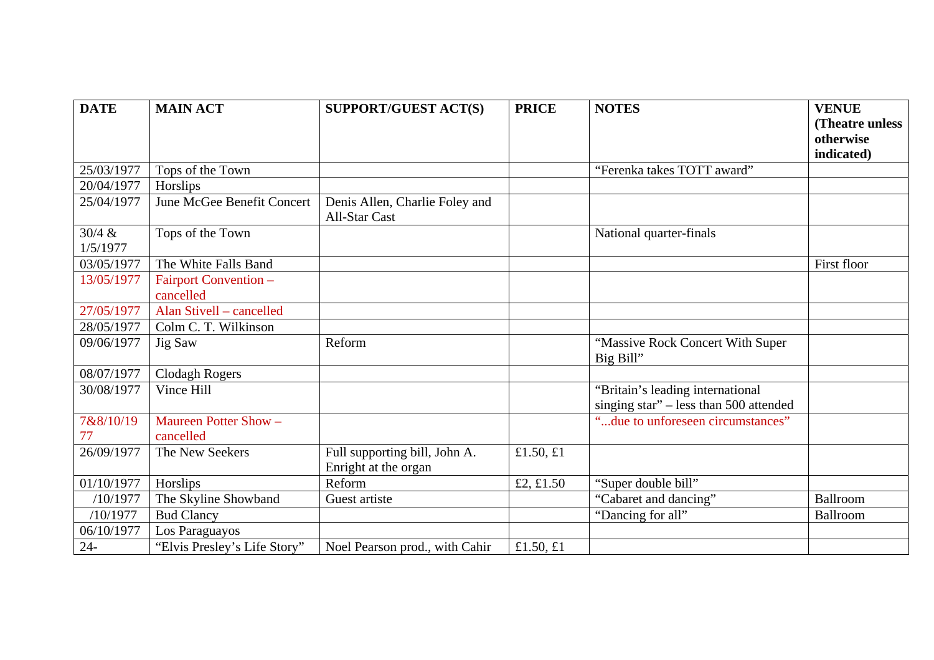| <b>DATE</b>        | <b>MAIN ACT</b>                    | <b>SUPPORT/GUEST ACT(S)</b>                            | <b>PRICE</b> | <b>NOTES</b>                                                               | <b>VENUE</b>    |
|--------------------|------------------------------------|--------------------------------------------------------|--------------|----------------------------------------------------------------------------|-----------------|
|                    |                                    |                                                        |              |                                                                            | (Theatre unless |
|                    |                                    |                                                        |              |                                                                            | otherwise       |
|                    |                                    |                                                        |              |                                                                            | indicated)      |
| 25/03/1977         | Tops of the Town                   |                                                        |              | "Ferenka takes TOTT award"                                                 |                 |
| 20/04/1977         | Horslips                           |                                                        |              |                                                                            |                 |
| 25/04/1977         | June McGee Benefit Concert         | Denis Allen, Charlie Foley and<br><b>All-Star Cast</b> |              |                                                                            |                 |
| 30/4 &<br>1/5/1977 | Tops of the Town                   |                                                        |              | National quarter-finals                                                    |                 |
| 03/05/1977         | The White Falls Band               |                                                        |              |                                                                            | First floor     |
| 13/05/1977         | Fairport Convention -              |                                                        |              |                                                                            |                 |
|                    | cancelled                          |                                                        |              |                                                                            |                 |
| 27/05/1977         | Alan Stivell – cancelled           |                                                        |              |                                                                            |                 |
| 28/05/1977         | Colm C. T. Wilkinson               |                                                        |              |                                                                            |                 |
| 09/06/1977         | Jig Saw                            | Reform                                                 |              | "Massive Rock Concert With Super<br>Big Bill"                              |                 |
| 08/07/1977         | <b>Clodagh Rogers</b>              |                                                        |              |                                                                            |                 |
| 30/08/1977         | Vince Hill                         |                                                        |              | "Britain's leading international<br>singing star" - less than 500 attended |                 |
| 7&8/10/19<br>77    | Maureen Potter Show -<br>cancelled |                                                        |              | "due to unforeseen circumstances"                                          |                 |
| 26/09/1977         | The New Seekers                    | Full supporting bill, John A.<br>Enright at the organ  | £1.50, £1    |                                                                            |                 |
| 01/10/1977         | Horslips                           | Reform                                                 | £2, £1.50    | "Super double bill"                                                        |                 |
| /10/1977           | The Skyline Showband               | Guest artiste                                          |              | "Cabaret and dancing"                                                      | Ballroom        |
| /10/1977           | <b>Bud Clancy</b>                  |                                                        |              | "Dancing for all"                                                          | Ballroom        |
| 06/10/1977         | Los Paraguayos                     |                                                        |              |                                                                            |                 |
| $24 -$             | "Elvis Presley's Life Story"       | Noel Pearson prod., with Cahir                         | £1.50, $£1$  |                                                                            |                 |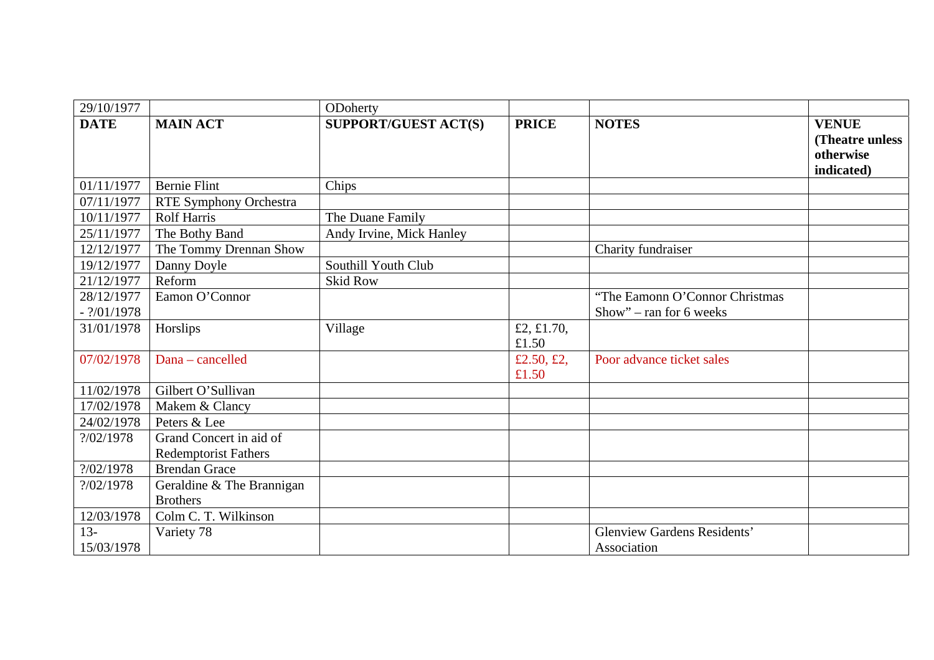| 29/10/1977                  |                             | ODoherty                    |                     |                                                            |                                                             |
|-----------------------------|-----------------------------|-----------------------------|---------------------|------------------------------------------------------------|-------------------------------------------------------------|
| <b>DATE</b>                 | <b>MAIN ACT</b>             | <b>SUPPORT/GUEST ACT(S)</b> | <b>PRICE</b>        | <b>NOTES</b>                                               | <b>VENUE</b><br>(Theatre unless)<br>otherwise<br>indicated) |
| 01/11/1977                  | <b>Bernie Flint</b>         | Chips                       |                     |                                                            |                                                             |
| 07/11/1977                  | RTE Symphony Orchestra      |                             |                     |                                                            |                                                             |
| 10/11/1977                  | <b>Rolf Harris</b>          | The Duane Family            |                     |                                                            |                                                             |
| 25/11/1977                  | The Bothy Band              | Andy Irvine, Mick Hanley    |                     |                                                            |                                                             |
| 12/12/1977                  | The Tommy Drennan Show      |                             |                     | Charity fundraiser                                         |                                                             |
| 19/12/1977                  | Danny Doyle                 | Southill Youth Club         |                     |                                                            |                                                             |
| 21/12/1977                  | Reform                      | <b>Skid Row</b>             |                     |                                                            |                                                             |
| 28/12/1977<br>$-$ ?/01/1978 | Eamon O'Connor              |                             |                     | "The Eamonn O'Connor Christmas"<br>Show" – ran for 6 weeks |                                                             |
| 31/01/1978                  | Horslips                    | Village                     | £2, £1.70,<br>£1.50 |                                                            |                                                             |
| 07/02/1978                  | Dana - cancelled            |                             | £2.50, £2,<br>£1.50 | Poor advance ticket sales                                  |                                                             |
| 11/02/1978                  | Gilbert O'Sullivan          |                             |                     |                                                            |                                                             |
| 17/02/1978                  | Makem & Clancy              |                             |                     |                                                            |                                                             |
| 24/02/1978                  | Peters & Lee                |                             |                     |                                                            |                                                             |
| ?/02/1978                   | Grand Concert in aid of     |                             |                     |                                                            |                                                             |
|                             | <b>Redemptorist Fathers</b> |                             |                     |                                                            |                                                             |
| ? / 02 / 1978               | <b>Brendan Grace</b>        |                             |                     |                                                            |                                                             |
| ?/02/1978                   | Geraldine & The Brannigan   |                             |                     |                                                            |                                                             |
|                             | <b>Brothers</b>             |                             |                     |                                                            |                                                             |
| 12/03/1978                  | Colm C. T. Wilkinson        |                             |                     |                                                            |                                                             |
| $13 -$                      | Variety 78                  |                             |                     | <b>Glenview Gardens Residents'</b>                         |                                                             |
| 15/03/1978                  |                             |                             |                     | Association                                                |                                                             |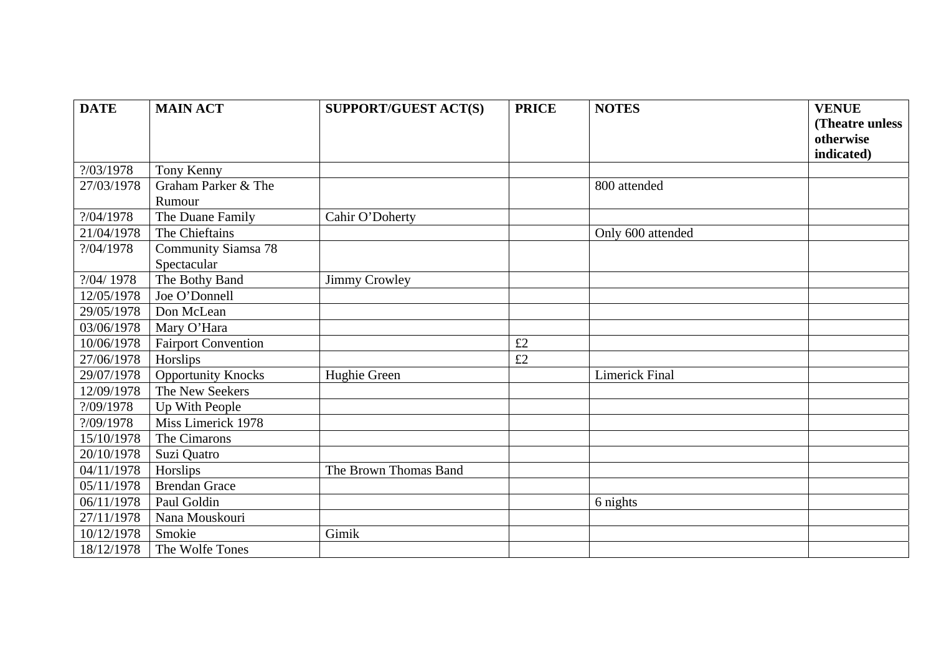| <b>DATE</b>   | <b>MAIN ACT</b>            | <b>SUPPORT/GUEST ACT(S)</b> | <b>PRICE</b> | <b>NOTES</b>          | <b>VENUE</b>    |
|---------------|----------------------------|-----------------------------|--------------|-----------------------|-----------------|
|               |                            |                             |              |                       | (Theatre unless |
|               |                            |                             |              |                       | otherwise       |
|               |                            |                             |              |                       | indicated)      |
| ?/03/1978     | Tony Kenny                 |                             |              |                       |                 |
| 27/03/1978    | Graham Parker & The        |                             |              | 800 attended          |                 |
|               | Rumour                     |                             |              |                       |                 |
| ? / 04 / 1978 | The Duane Family           | Cahir O'Doherty             |              |                       |                 |
| 21/04/1978    | The Chieftains             |                             |              | Only 600 attended     |                 |
| ?/04/1978     | <b>Community Siamsa 78</b> |                             |              |                       |                 |
|               | Spectacular                |                             |              |                       |                 |
| ?/04/ 1978    | The Bothy Band             | <b>Jimmy Crowley</b>        |              |                       |                 |
| 12/05/1978    | Joe O'Donnell              |                             |              |                       |                 |
| 29/05/1978    | Don McLean                 |                             |              |                       |                 |
| 03/06/1978    | Mary O'Hara                |                             |              |                       |                 |
| 10/06/1978    | <b>Fairport Convention</b> |                             | £2           |                       |                 |
| 27/06/1978    | Horslips                   |                             | £2           |                       |                 |
| 29/07/1978    | <b>Opportunity Knocks</b>  | Hughie Green                |              | <b>Limerick Final</b> |                 |
| 12/09/1978    | The New Seekers            |                             |              |                       |                 |
| ?/09/1978     | Up With People             |                             |              |                       |                 |
| ?/09/1978     | Miss Limerick 1978         |                             |              |                       |                 |
| 15/10/1978    | The Cimarons               |                             |              |                       |                 |
| 20/10/1978    | Suzi Quatro                |                             |              |                       |                 |
| 04/11/1978    | Horslips                   | The Brown Thomas Band       |              |                       |                 |
| 05/11/1978    | <b>Brendan Grace</b>       |                             |              |                       |                 |
| 06/11/1978    | Paul Goldin                |                             |              | 6 nights              |                 |
| 27/11/1978    | Nana Mouskouri             |                             |              |                       |                 |
| 10/12/1978    | Smokie                     | Gimik                       |              |                       |                 |
| 18/12/1978    | The Wolfe Tones            |                             |              |                       |                 |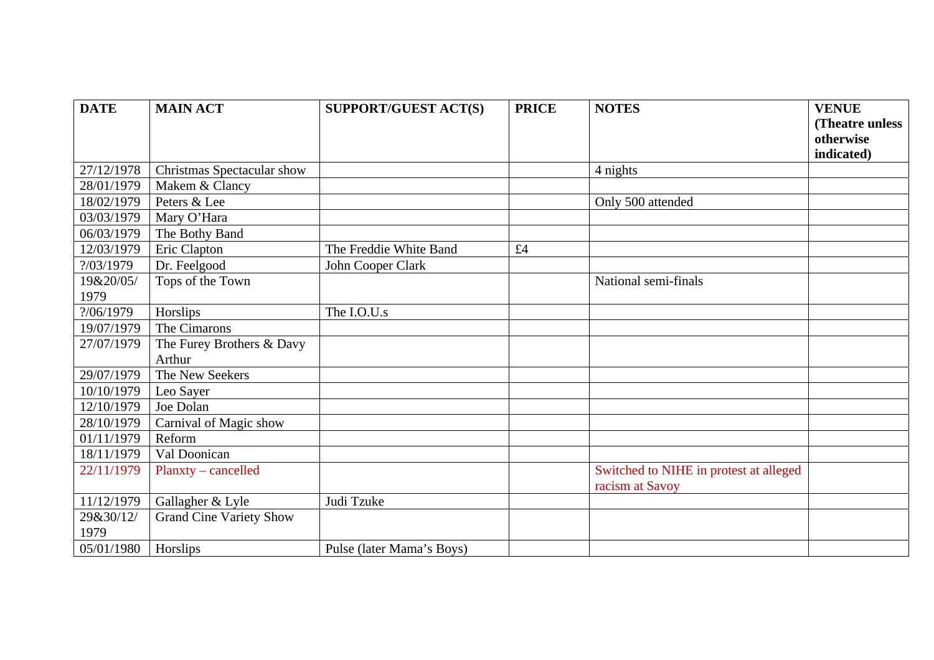| <b>DATE</b> | <b>MAIN ACT</b>                | <b>SUPPORT/GUEST ACT(S)</b> | <b>PRICE</b> | <b>NOTES</b>                           | <b>VENUE</b>    |
|-------------|--------------------------------|-----------------------------|--------------|----------------------------------------|-----------------|
|             |                                |                             |              |                                        | (Theatre unless |
|             |                                |                             |              |                                        | otherwise       |
|             |                                |                             |              |                                        | indicated)      |
| 27/12/1978  | Christmas Spectacular show     |                             |              | 4 nights                               |                 |
| 28/01/1979  | Makem & Clancy                 |                             |              |                                        |                 |
| 18/02/1979  | Peters & Lee                   |                             |              | Only 500 attended                      |                 |
| 03/03/1979  | Mary O'Hara                    |                             |              |                                        |                 |
| 06/03/1979  | The Bothy Band                 |                             |              |                                        |                 |
| 12/03/1979  | Eric Clapton                   | The Freddie White Band      | £4           |                                        |                 |
| ?/03/1979   | Dr. Feelgood                   | John Cooper Clark           |              |                                        |                 |
| 19&20/05/   | Tops of the Town               |                             |              | National semi-finals                   |                 |
| 1979        |                                |                             |              |                                        |                 |
| ?/06/1979   | Horslips                       | The I.O.U.s                 |              |                                        |                 |
| 19/07/1979  | The Cimarons                   |                             |              |                                        |                 |
| 27/07/1979  | The Furey Brothers & Davy      |                             |              |                                        |                 |
|             | Arthur                         |                             |              |                                        |                 |
| 29/07/1979  | The New Seekers                |                             |              |                                        |                 |
| 10/10/1979  | Leo Sayer                      |                             |              |                                        |                 |
| 12/10/1979  | Joe Dolan                      |                             |              |                                        |                 |
| 28/10/1979  | Carnival of Magic show         |                             |              |                                        |                 |
| 01/11/1979  | Reform                         |                             |              |                                        |                 |
| 18/11/1979  | Val Doonican                   |                             |              |                                        |                 |
| 22/11/1979  | Planxty – cancelled            |                             |              | Switched to NIHE in protest at alleged |                 |
|             |                                |                             |              | racism at Savoy                        |                 |
| 11/12/1979  | Gallagher & Lyle               | Judi Tzuke                  |              |                                        |                 |
| 29&30/12/   | <b>Grand Cine Variety Show</b> |                             |              |                                        |                 |
| 1979        |                                |                             |              |                                        |                 |
| 05/01/1980  | Horslips                       | Pulse (later Mama's Boys)   |              |                                        |                 |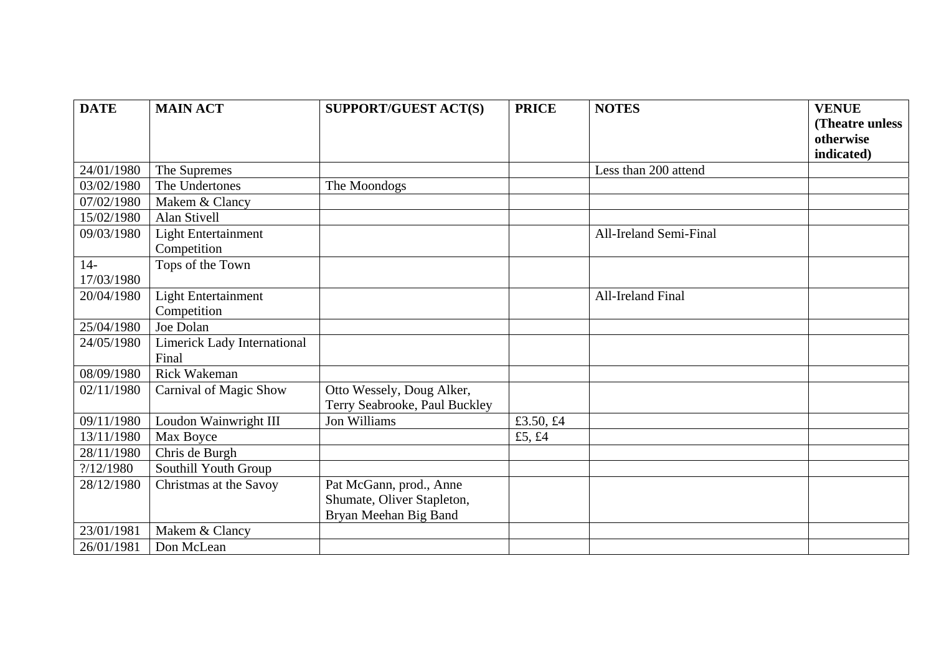| <b>DATE</b> | <b>MAIN ACT</b>                    | SUPPORT/GUEST ACT(S)          | <b>PRICE</b> | <b>NOTES</b>           | <b>VENUE</b>    |
|-------------|------------------------------------|-------------------------------|--------------|------------------------|-----------------|
|             |                                    |                               |              |                        | (Theatre unless |
|             |                                    |                               |              |                        | otherwise       |
|             |                                    |                               |              |                        | indicated)      |
| 24/01/1980  | The Supremes                       |                               |              | Less than 200 attend   |                 |
| 03/02/1980  | The Undertones                     | The Moondogs                  |              |                        |                 |
| 07/02/1980  | Makem & Clancy                     |                               |              |                        |                 |
| 15/02/1980  | Alan Stivell                       |                               |              |                        |                 |
| 09/03/1980  | <b>Light Entertainment</b>         |                               |              | All-Ireland Semi-Final |                 |
|             | Competition                        |                               |              |                        |                 |
| $14-$       | Tops of the Town                   |                               |              |                        |                 |
| 17/03/1980  |                                    |                               |              |                        |                 |
| 20/04/1980  | <b>Light Entertainment</b>         |                               |              | All-Ireland Final      |                 |
|             | Competition                        |                               |              |                        |                 |
| 25/04/1980  | Joe Dolan                          |                               |              |                        |                 |
| 24/05/1980  | <b>Limerick Lady International</b> |                               |              |                        |                 |
|             | Final                              |                               |              |                        |                 |
| 08/09/1980  | <b>Rick Wakeman</b>                |                               |              |                        |                 |
| 02/11/1980  | Carnival of Magic Show             | Otto Wessely, Doug Alker,     |              |                        |                 |
|             |                                    | Terry Seabrooke, Paul Buckley |              |                        |                 |
| 09/11/1980  | Loudon Wainwright III              | Jon Williams                  | £3.50, £4    |                        |                 |
| 13/11/1980  | Max Boyce                          |                               | £5, £4       |                        |                 |
| 28/11/1980  | Chris de Burgh                     |                               |              |                        |                 |
| ?/12/1980   | Southill Youth Group               |                               |              |                        |                 |
| 28/12/1980  | Christmas at the Savoy             | Pat McGann, prod., Anne       |              |                        |                 |
|             |                                    | Shumate, Oliver Stapleton,    |              |                        |                 |
|             |                                    | Bryan Meehan Big Band         |              |                        |                 |
| 23/01/1981  | Makem & Clancy                     |                               |              |                        |                 |
| 26/01/1981  | Don McLean                         |                               |              |                        |                 |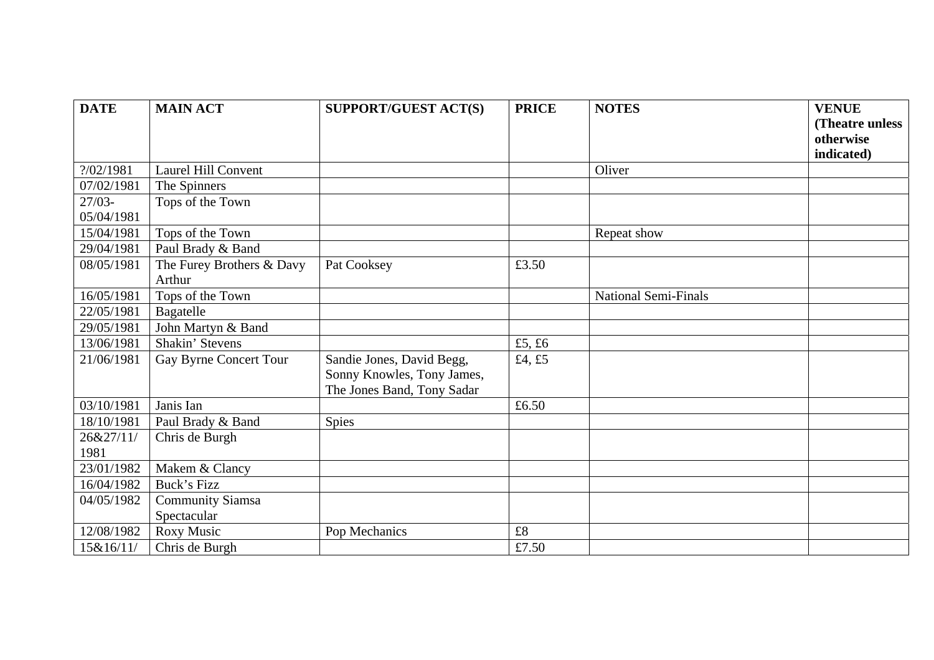| <b>DATE</b> | <b>MAIN ACT</b>            | <b>SUPPORT/GUEST ACT(S)</b> | <b>PRICE</b> | <b>NOTES</b>                | <b>VENUE</b>    |
|-------------|----------------------------|-----------------------------|--------------|-----------------------------|-----------------|
|             |                            |                             |              |                             | (Theatre unless |
|             |                            |                             |              |                             | otherwise       |
|             |                            |                             |              |                             | indicated)      |
| ?/02/1981   | <b>Laurel Hill Convent</b> |                             |              | Oliver                      |                 |
| 07/02/1981  | The Spinners               |                             |              |                             |                 |
| $27/03 -$   | Tops of the Town           |                             |              |                             |                 |
| 05/04/1981  |                            |                             |              |                             |                 |
| 15/04/1981  | Tops of the Town           |                             |              | Repeat show                 |                 |
| 29/04/1981  | Paul Brady & Band          |                             |              |                             |                 |
| 08/05/1981  | The Furey Brothers & Davy  | Pat Cooksey                 | £3.50        |                             |                 |
|             | Arthur                     |                             |              |                             |                 |
| 16/05/1981  | Tops of the Town           |                             |              | <b>National Semi-Finals</b> |                 |
| 22/05/1981  | Bagatelle                  |                             |              |                             |                 |
| 29/05/1981  | John Martyn & Band         |                             |              |                             |                 |
| 13/06/1981  | Shakin' Stevens            |                             | £5, £6       |                             |                 |
| 21/06/1981  | Gay Byrne Concert Tour     | Sandie Jones, David Begg,   | £4, £5       |                             |                 |
|             |                            | Sonny Knowles, Tony James,  |              |                             |                 |
|             |                            | The Jones Band, Tony Sadar  |              |                             |                 |
| 03/10/1981  | Janis Ian                  |                             | £6.50        |                             |                 |
| 18/10/1981  | Paul Brady & Band          | <b>Spies</b>                |              |                             |                 |
| 26&27/11/   | Chris de Burgh             |                             |              |                             |                 |
| 1981        |                            |                             |              |                             |                 |
| 23/01/1982  | Makem & Clancy             |                             |              |                             |                 |
| 16/04/1982  | Buck's Fizz                |                             |              |                             |                 |
| 04/05/1982  | <b>Community Siamsa</b>    |                             |              |                             |                 |
|             | Spectacular                |                             |              |                             |                 |
| 12/08/1982  | Roxy Music                 | Pop Mechanics               | $\pounds 8$  |                             |                 |
| 15&16/11/   | Chris de Burgh             |                             | £7.50        |                             |                 |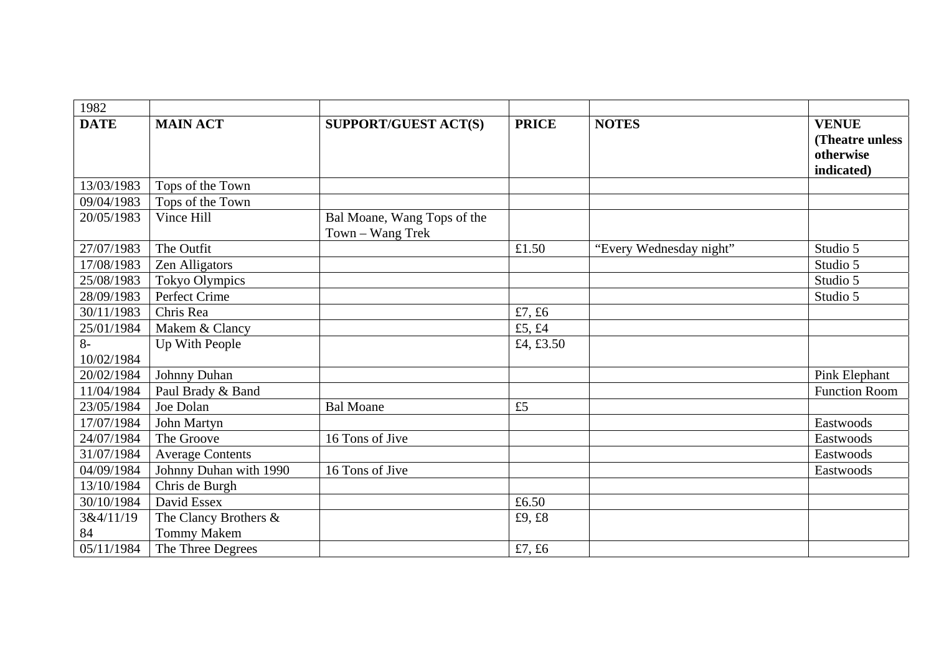| 1982            |                                             |                                                 |              |                         |                                                            |
|-----------------|---------------------------------------------|-------------------------------------------------|--------------|-------------------------|------------------------------------------------------------|
| <b>DATE</b>     | <b>MAIN ACT</b>                             | <b>SUPPORT/GUEST ACT(S)</b>                     | <b>PRICE</b> | <b>NOTES</b>            | <b>VENUE</b><br>(Theatre unless<br>otherwise<br>indicated) |
| 13/03/1983      | Tops of the Town                            |                                                 |              |                         |                                                            |
| 09/04/1983      | Tops of the Town                            |                                                 |              |                         |                                                            |
| 20/05/1983      | Vince Hill                                  | Bal Moane, Wang Tops of the<br>Town - Wang Trek |              |                         |                                                            |
| 27/07/1983      | The Outfit                                  |                                                 | £1.50        | "Every Wednesday night" | Studio 5                                                   |
| 17/08/1983      | Zen Alligators                              |                                                 |              |                         | Studio 5                                                   |
| 25/08/1983      | <b>Tokyo Olympics</b>                       |                                                 |              |                         | Studio 5                                                   |
| 28/09/1983      | Perfect Crime                               |                                                 |              |                         | Studio 5                                                   |
| 30/11/1983      | Chris Rea                                   |                                                 | £7, £6       |                         |                                                            |
| 25/01/1984      | Makem & Clancy                              |                                                 | £5, £4       |                         |                                                            |
| $8-$            | Up With People                              |                                                 | £4, £3.50    |                         |                                                            |
| 10/02/1984      |                                             |                                                 |              |                         |                                                            |
| 20/02/1984      | Johnny Duhan                                |                                                 |              |                         | Pink Elephant                                              |
| 11/04/1984      | Paul Brady & Band                           |                                                 |              |                         | <b>Function Room</b>                                       |
| 23/05/1984      | Joe Dolan                                   | <b>Bal Moane</b>                                | £5           |                         |                                                            |
| 17/07/1984      | John Martyn                                 |                                                 |              |                         | Eastwoods                                                  |
| 24/07/1984      | The Groove                                  | 16 Tons of Jive                                 |              |                         | Eastwoods                                                  |
| 31/07/1984      | <b>Average Contents</b>                     |                                                 |              |                         | Eastwoods                                                  |
| 04/09/1984      | Johnny Duhan with 1990                      | 16 Tons of Jive                                 |              |                         | Eastwoods                                                  |
| 13/10/1984      | Chris de Burgh                              |                                                 |              |                         |                                                            |
| 30/10/1984      | David Essex                                 |                                                 | £6.50        |                         |                                                            |
| 3&4/11/19<br>84 | The Clancy Brothers &<br><b>Tommy Makem</b> |                                                 | £9, £8       |                         |                                                            |
| 05/11/1984      | The Three Degrees                           |                                                 | £7, £6       |                         |                                                            |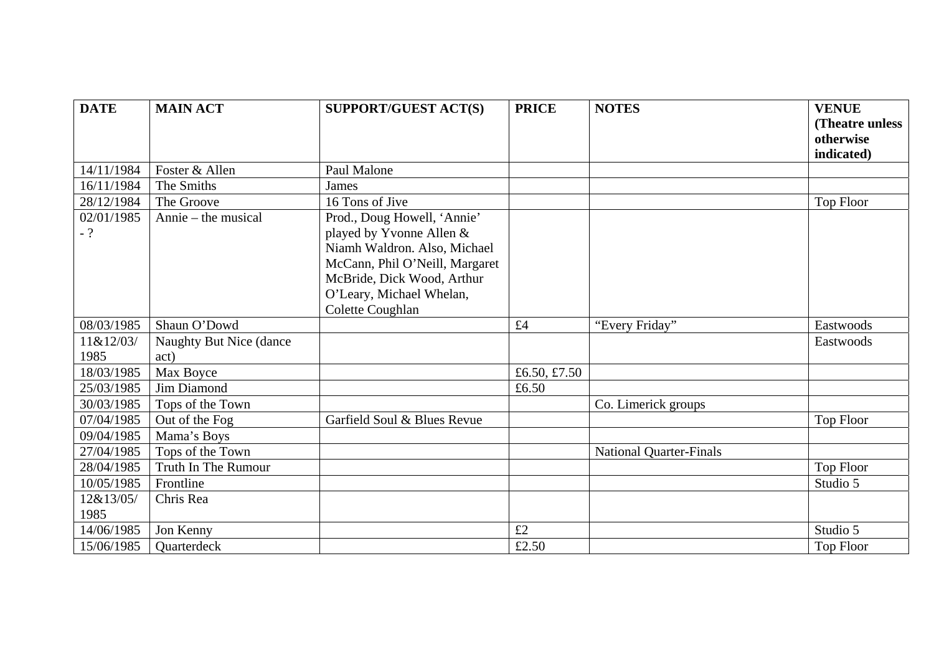| <b>DATE</b> | <b>MAIN ACT</b>         | <b>SUPPORT/GUEST ACT(S)</b>    | <b>PRICE</b> | <b>NOTES</b>                   | <b>VENUE</b>     |
|-------------|-------------------------|--------------------------------|--------------|--------------------------------|------------------|
|             |                         |                                |              |                                | (Theatre unless  |
|             |                         |                                |              |                                | otherwise        |
|             |                         |                                |              |                                | indicated)       |
| 14/11/1984  | Foster & Allen          | Paul Malone                    |              |                                |                  |
| 16/11/1984  | The Smiths              | James                          |              |                                |                  |
| 28/12/1984  | The Groove              | 16 Tons of Jive                |              |                                | <b>Top Floor</b> |
| 02/01/1985  | Annie – the musical     | Prod., Doug Howell, 'Annie'    |              |                                |                  |
| $-?$        |                         | played by Yvonne Allen &       |              |                                |                  |
|             |                         | Niamh Waldron. Also, Michael   |              |                                |                  |
|             |                         | McCann, Phil O'Neill, Margaret |              |                                |                  |
|             |                         | McBride, Dick Wood, Arthur     |              |                                |                  |
|             |                         | O'Leary, Michael Whelan,       |              |                                |                  |
|             |                         | Colette Coughlan               |              |                                |                  |
| 08/03/1985  | Shaun O'Dowd            |                                | £4           | "Every Friday"                 | Eastwoods        |
| 11&12/03/   | Naughty But Nice (dance |                                |              |                                | Eastwoods        |
| 1985        | act)                    |                                |              |                                |                  |
| 18/03/1985  | Max Boyce               |                                | £6.50, £7.50 |                                |                  |
| 25/03/1985  | Jim Diamond             |                                | £6.50        |                                |                  |
| 30/03/1985  | Tops of the Town        |                                |              | Co. Limerick groups            |                  |
| 07/04/1985  | Out of the Fog          | Garfield Soul & Blues Revue    |              |                                | Top Floor        |
| 09/04/1985  | Mama's Boys             |                                |              |                                |                  |
| 27/04/1985  | Tops of the Town        |                                |              | <b>National Quarter-Finals</b> |                  |
| 28/04/1985  | Truth In The Rumour     |                                |              |                                | Top Floor        |
| 10/05/1985  | Frontline               |                                |              |                                | Studio 5         |
| 12&13/05/   | Chris Rea               |                                |              |                                |                  |
| 1985        |                         |                                |              |                                |                  |
| 14/06/1985  | Jon Kenny               |                                | £2           |                                | Studio 5         |
| 15/06/1985  | Quarterdeck             |                                | £2.50        |                                | <b>Top Floor</b> |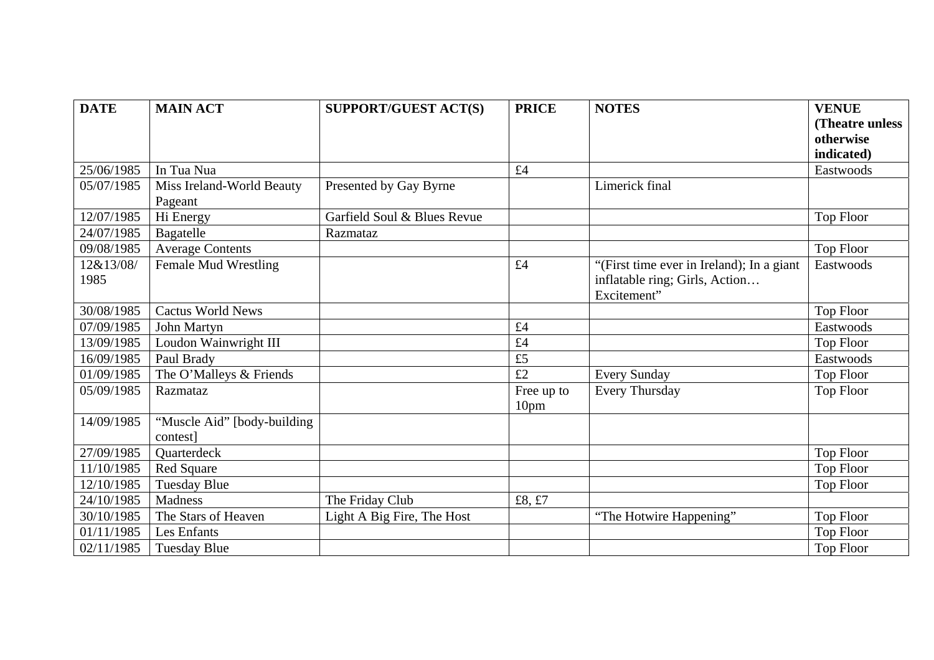| <b>DATE</b> | <b>MAIN ACT</b>             | <b>SUPPORT/GUEST ACT(S)</b> | <b>PRICE</b>     | <b>NOTES</b>                              | <b>VENUE</b>     |
|-------------|-----------------------------|-----------------------------|------------------|-------------------------------------------|------------------|
|             |                             |                             |                  |                                           | (Theatre unless) |
|             |                             |                             |                  |                                           | otherwise        |
|             |                             |                             |                  |                                           | indicated)       |
| 25/06/1985  | In Tua Nua                  |                             | £4               |                                           | Eastwoods        |
| 05/07/1985  | Miss Ireland-World Beauty   | Presented by Gay Byrne      |                  | Limerick final                            |                  |
|             | Pageant                     |                             |                  |                                           |                  |
| 12/07/1985  | Hi Energy                   | Garfield Soul & Blues Revue |                  |                                           | Top Floor        |
| 24/07/1985  | Bagatelle                   | Razmataz                    |                  |                                           |                  |
| 09/08/1985  | <b>Average Contents</b>     |                             |                  |                                           | Top Floor        |
| 12&13/08/   | Female Mud Wrestling        |                             | £4               | "(First time ever in Ireland); In a giant | Eastwoods        |
| 1985        |                             |                             |                  | inflatable ring; Girls, Action            |                  |
|             |                             |                             |                  | Excitement"                               |                  |
| 30/08/1985  | <b>Cactus World News</b>    |                             |                  |                                           | Top Floor        |
| 07/09/1985  | John Martyn                 |                             | £4               |                                           | Eastwoods        |
| 13/09/1985  | Loudon Wainwright III       |                             | £4               |                                           | Top Floor        |
| 16/09/1985  | Paul Brady                  |                             | £5               |                                           | Eastwoods        |
| 01/09/1985  | The O'Malleys & Friends     |                             | £2               | <b>Every Sunday</b>                       | Top Floor        |
| 05/09/1985  | Razmataz                    |                             | Free up to       | Every Thursday                            | <b>Top Floor</b> |
|             |                             |                             | 10 <sub>pm</sub> |                                           |                  |
| 14/09/1985  | "Muscle Aid" [body-building |                             |                  |                                           |                  |
|             | contest]                    |                             |                  |                                           |                  |
| 27/09/1985  | Quarterdeck                 |                             |                  |                                           | Top Floor        |
| 11/10/1985  | <b>Red Square</b>           |                             |                  |                                           | <b>Top Floor</b> |
| 12/10/1985  | <b>Tuesday Blue</b>         |                             |                  |                                           | Top Floor        |
| 24/10/1985  | Madness                     | The Friday Club             | £8, £7           |                                           |                  |
| 30/10/1985  | The Stars of Heaven         | Light A Big Fire, The Host  |                  | "The Hotwire Happening"                   | Top Floor        |
| 01/11/1985  | Les Enfants                 |                             |                  |                                           | <b>Top Floor</b> |
| 02/11/1985  | <b>Tuesday Blue</b>         |                             |                  |                                           | <b>Top Floor</b> |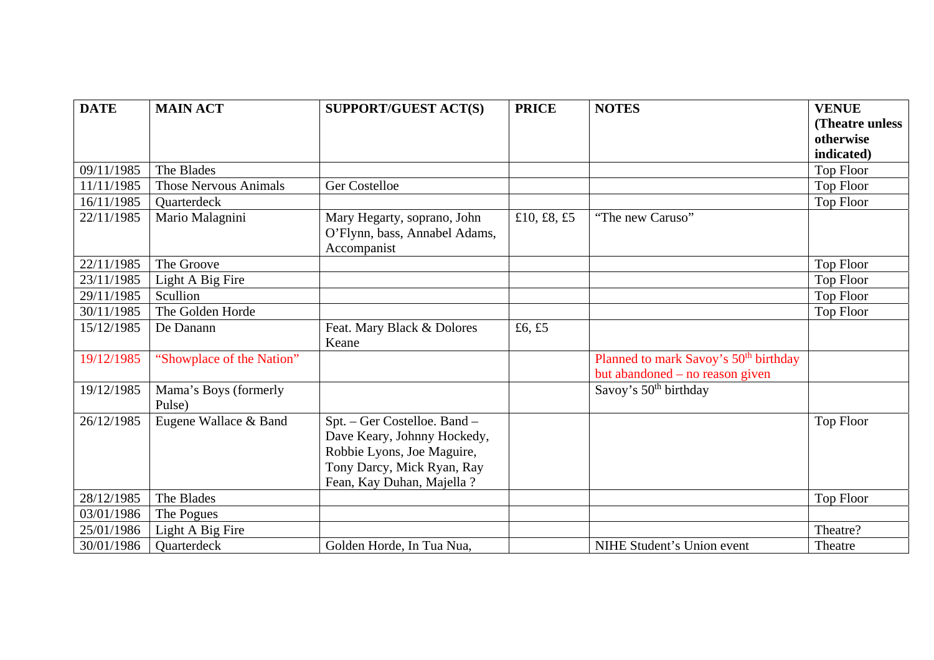| <b>DATE</b> | <b>MAIN ACT</b>                 | <b>SUPPORT/GUEST ACT(S)</b>                                                                                                                           | <b>PRICE</b> | <b>NOTES</b>                                                                         | <b>VENUE</b>     |
|-------------|---------------------------------|-------------------------------------------------------------------------------------------------------------------------------------------------------|--------------|--------------------------------------------------------------------------------------|------------------|
|             |                                 |                                                                                                                                                       |              |                                                                                      | (Theatre unless  |
|             |                                 |                                                                                                                                                       |              |                                                                                      | otherwise        |
|             |                                 |                                                                                                                                                       |              |                                                                                      | indicated)       |
| 09/11/1985  | The Blades                      |                                                                                                                                                       |              |                                                                                      | Top Floor        |
| 11/11/1985  | <b>Those Nervous Animals</b>    | <b>Ger Costelloe</b>                                                                                                                                  |              |                                                                                      | Top Floor        |
| 16/11/1985  | Quarterdeck                     |                                                                                                                                                       |              |                                                                                      | <b>Top Floor</b> |
| 22/11/1985  | Mario Malagnini                 | Mary Hegarty, soprano, John<br>O'Flynn, bass, Annabel Adams,<br>Accompanist                                                                           | £10, £8, £5  | "The new Caruso"                                                                     |                  |
| 22/11/1985  | The Groove                      |                                                                                                                                                       |              |                                                                                      | Top Floor        |
| 23/11/1985  | Light A Big Fire                |                                                                                                                                                       |              |                                                                                      | <b>Top Floor</b> |
| 29/11/1985  | Scullion                        |                                                                                                                                                       |              |                                                                                      | <b>Top Floor</b> |
| 30/11/1985  | The Golden Horde                |                                                                                                                                                       |              |                                                                                      | Top Floor        |
| 15/12/1985  | De Danann                       | Feat. Mary Black & Dolores<br>Keane                                                                                                                   | £6, £5       |                                                                                      |                  |
| 19/12/1985  | "Showplace of the Nation"       |                                                                                                                                                       |              | Planned to mark Savoy's 50 <sup>th</sup> birthday<br>but abandoned – no reason given |                  |
| 19/12/1985  | Mama's Boys (formerly<br>Pulse) |                                                                                                                                                       |              | Savoy's 50 <sup>th</sup> birthday                                                    |                  |
| 26/12/1985  | Eugene Wallace & Band           | Spt. - Ger Costelloe. Band -<br>Dave Keary, Johnny Hockedy,<br>Robbie Lyons, Joe Maguire,<br>Tony Darcy, Mick Ryan, Ray<br>Fean, Kay Duhan, Majella ? |              |                                                                                      | <b>Top Floor</b> |
| 28/12/1985  | The Blades                      |                                                                                                                                                       |              |                                                                                      | <b>Top Floor</b> |
| 03/01/1986  | The Pogues                      |                                                                                                                                                       |              |                                                                                      |                  |
| 25/01/1986  | Light A Big Fire                |                                                                                                                                                       |              |                                                                                      | Theatre?         |
| 30/01/1986  | Quarterdeck                     | Golden Horde, In Tua Nua,                                                                                                                             |              | NIHE Student's Union event                                                           | Theatre          |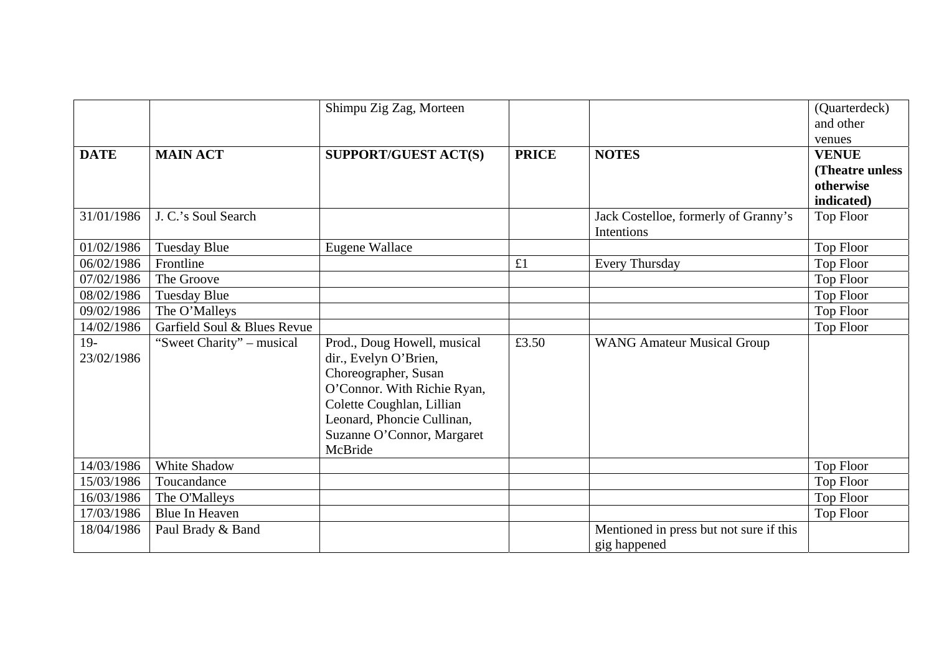|             |                             | Shimpu Zig Zag, Morteen     |              |                                                    | (Quarterdeck)<br>and other |
|-------------|-----------------------------|-----------------------------|--------------|----------------------------------------------------|----------------------------|
|             |                             |                             |              |                                                    | venues                     |
| <b>DATE</b> | <b>MAIN ACT</b>             | SUPPORT/GUEST ACT(S)        | <b>PRICE</b> | <b>NOTES</b>                                       | <b>VENUE</b>               |
|             |                             |                             |              |                                                    | (Theatre unless            |
|             |                             |                             |              |                                                    | otherwise                  |
|             |                             |                             |              |                                                    | indicated)                 |
| 31/01/1986  | J. C.'s Soul Search         |                             |              | Jack Costelloe, formerly of Granny's<br>Intentions | <b>Top Floor</b>           |
| 01/02/1986  | <b>Tuesday Blue</b>         | Eugene Wallace              |              |                                                    | Top Floor                  |
| 06/02/1986  | Frontline                   |                             | £1           | <b>Every Thursday</b>                              | Top Floor                  |
| 07/02/1986  | The Groove                  |                             |              |                                                    | <b>Top Floor</b>           |
| 08/02/1986  | <b>Tuesday Blue</b>         |                             |              |                                                    | <b>Top Floor</b>           |
| 09/02/1986  | The O'Malleys               |                             |              |                                                    | Top Floor                  |
| 14/02/1986  | Garfield Soul & Blues Revue |                             |              |                                                    | Top Floor                  |
| $19-$       | "Sweet Charity" – musical   | Prod., Doug Howell, musical | £3.50        | <b>WANG Amateur Musical Group</b>                  |                            |
| 23/02/1986  |                             | dir., Evelyn O'Brien,       |              |                                                    |                            |
|             |                             | Choreographer, Susan        |              |                                                    |                            |
|             |                             | O'Connor. With Richie Ryan, |              |                                                    |                            |
|             |                             | Colette Coughlan, Lillian   |              |                                                    |                            |
|             |                             | Leonard, Phoncie Cullinan,  |              |                                                    |                            |
|             |                             | Suzanne O'Connor, Margaret  |              |                                                    |                            |
|             |                             | McBride                     |              |                                                    |                            |
| 14/03/1986  | White Shadow                |                             |              |                                                    | Top Floor                  |
| 15/03/1986  | Toucandance                 |                             |              |                                                    | Top Floor                  |
| 16/03/1986  | The O'Malleys               |                             |              |                                                    | <b>Top Floor</b>           |
| 17/03/1986  | Blue In Heaven              |                             |              |                                                    | Top Floor                  |
| 18/04/1986  | Paul Brady & Band           |                             |              | Mentioned in press but not sure if this            |                            |
|             |                             |                             |              | gig happened                                       |                            |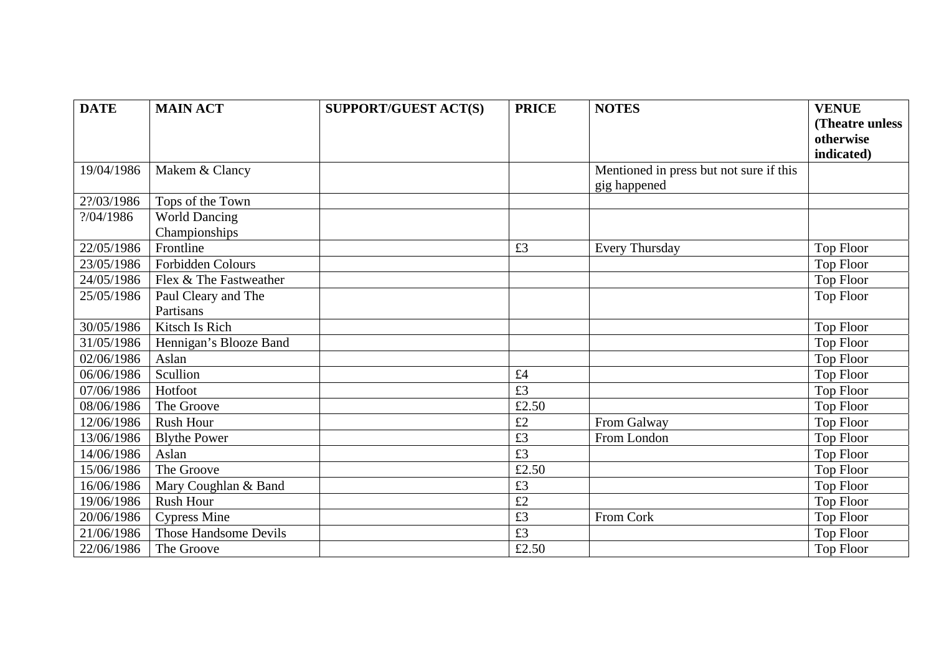| <b>DATE</b> | <b>MAIN ACT</b>        | <b>SUPPORT/GUEST ACT(S)</b> | <b>PRICE</b> | <b>NOTES</b>                            | <b>VENUE</b>     |
|-------------|------------------------|-----------------------------|--------------|-----------------------------------------|------------------|
|             |                        |                             |              |                                         | (Theatre unless  |
|             |                        |                             |              |                                         | otherwise        |
|             |                        |                             |              |                                         | indicated)       |
| 19/04/1986  | Makem & Clancy         |                             |              | Mentioned in press but not sure if this |                  |
|             |                        |                             |              | gig happened                            |                  |
| 2?/03/1986  | Tops of the Town       |                             |              |                                         |                  |
| ?/04/1986   | <b>World Dancing</b>   |                             |              |                                         |                  |
|             | Championships          |                             |              |                                         |                  |
| 22/05/1986  | Frontline              |                             | £3           | <b>Every Thursday</b>                   | Top Floor        |
| 23/05/1986  | Forbidden Colours      |                             |              |                                         | <b>Top Floor</b> |
| 24/05/1986  | Flex & The Fastweather |                             |              |                                         | <b>Top Floor</b> |
| 25/05/1986  | Paul Cleary and The    |                             |              |                                         | <b>Top Floor</b> |
|             | Partisans              |                             |              |                                         |                  |
| 30/05/1986  | Kitsch Is Rich         |                             |              |                                         | Top Floor        |
| 31/05/1986  | Hennigan's Blooze Band |                             |              |                                         | Top Floor        |
| 02/06/1986  | Aslan                  |                             |              |                                         | Top Floor        |
| 06/06/1986  | Scullion               |                             | £4           |                                         | <b>Top Floor</b> |
| 07/06/1986  | Hotfoot                |                             | £3           |                                         | Top Floor        |
| 08/06/1986  | The Groove             |                             | £2.50        |                                         | <b>Top Floor</b> |
| 12/06/1986  | <b>Rush Hour</b>       |                             | £2           | From Galway                             | Top Floor        |
| 13/06/1986  | <b>Blythe Power</b>    |                             | £3           | From London                             | <b>Top Floor</b> |
| 14/06/1986  | Aslan                  |                             | £3           |                                         | <b>Top Floor</b> |
| 15/06/1986  | The Groove             |                             | £2.50        |                                         | <b>Top Floor</b> |
| 16/06/1986  | Mary Coughlan & Band   |                             | £3           |                                         | Top Floor        |
| 19/06/1986  | <b>Rush Hour</b>       |                             | £2           |                                         | <b>Top Floor</b> |
| 20/06/1986  | <b>Cypress Mine</b>    |                             | £3           | From Cork                               | Top Floor        |
| 21/06/1986  | Those Handsome Devils  |                             | £3           |                                         | <b>Top Floor</b> |
| 22/06/1986  | The Groove             |                             | £2.50        |                                         | <b>Top Floor</b> |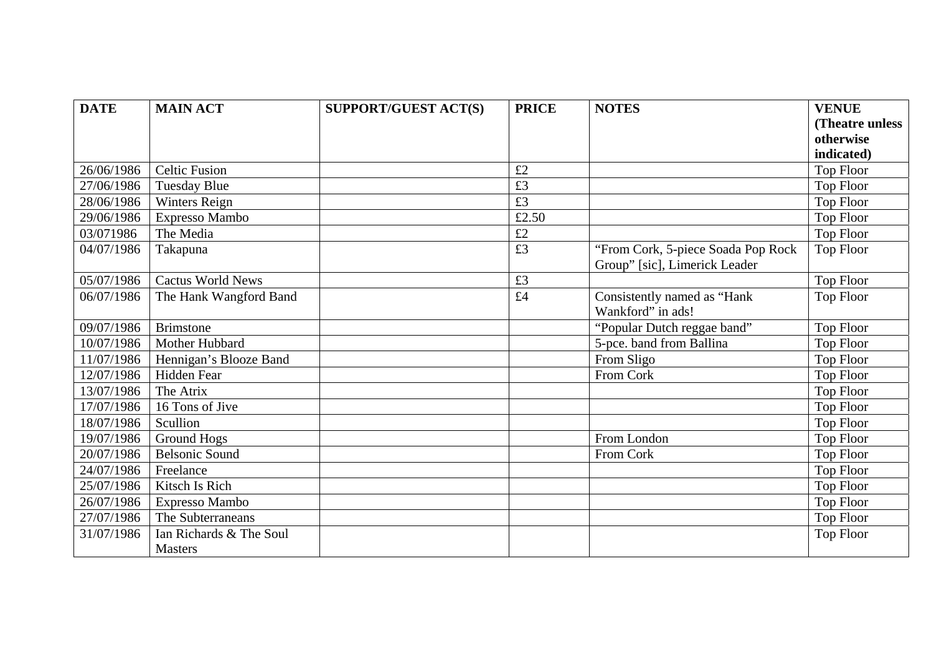| <b>DATE</b> | <b>MAIN ACT</b>          | <b>SUPPORT/GUEST ACT(S)</b> | <b>PRICE</b> | <b>NOTES</b>                       | <b>VENUE</b>     |
|-------------|--------------------------|-----------------------------|--------------|------------------------------------|------------------|
|             |                          |                             |              |                                    | (Theatre unless) |
|             |                          |                             |              |                                    | otherwise        |
|             |                          |                             |              |                                    | indicated)       |
| 26/06/1986  | <b>Celtic Fusion</b>     |                             | £2           |                                    | <b>Top Floor</b> |
| 27/06/1986  | <b>Tuesday Blue</b>      |                             | £3           |                                    | <b>Top Floor</b> |
| 28/06/1986  | Winters Reign            |                             | £3           |                                    | <b>Top Floor</b> |
| 29/06/1986  | Expresso Mambo           |                             | £2.50        |                                    | Top Floor        |
| 03/071986   | The Media                |                             | £2           |                                    | <b>Top Floor</b> |
| 04/07/1986  | Takapuna                 |                             | £3           | "From Cork, 5-piece Soada Pop Rock | <b>Top Floor</b> |
|             |                          |                             |              | Group" [sic], Limerick Leader      |                  |
| 05/07/1986  | <b>Cactus World News</b> |                             | £3           |                                    | <b>Top Floor</b> |
| 06/07/1986  | The Hank Wangford Band   |                             | £4           | Consistently named as "Hank        | <b>Top Floor</b> |
|             |                          |                             |              | Wankford" in ads!                  |                  |
| 09/07/1986  | <b>Brimstone</b>         |                             |              | "Popular Dutch reggae band"        | Top Floor        |
| 10/07/1986  | Mother Hubbard           |                             |              | 5-pce. band from Ballina           | Top Floor        |
| 11/07/1986  | Hennigan's Blooze Band   |                             |              | From Sligo                         | Top Floor        |
| 12/07/1986  | Hidden Fear              |                             |              | From Cork                          | Top Floor        |
| 13/07/1986  | The Atrix                |                             |              |                                    | <b>Top Floor</b> |
| 17/07/1986  | 16 Tons of Jive          |                             |              |                                    | Top Floor        |
| 18/07/1986  | Scullion                 |                             |              |                                    | Top Floor        |
| 19/07/1986  | <b>Ground Hogs</b>       |                             |              | From London                        | Top Floor        |
| 20/07/1986  | <b>Belsonic Sound</b>    |                             |              | From Cork                          | Top Floor        |
| 24/07/1986  | Freelance                |                             |              |                                    | <b>Top Floor</b> |
| 25/07/1986  | Kitsch Is Rich           |                             |              |                                    | <b>Top Floor</b> |
| 26/07/1986  | Expresso Mambo           |                             |              |                                    | Top Floor        |
| 27/07/1986  | The Subterraneans        |                             |              |                                    | Top Floor        |
| 31/07/1986  | Ian Richards & The Soul  |                             |              |                                    | Top Floor        |
|             | <b>Masters</b>           |                             |              |                                    |                  |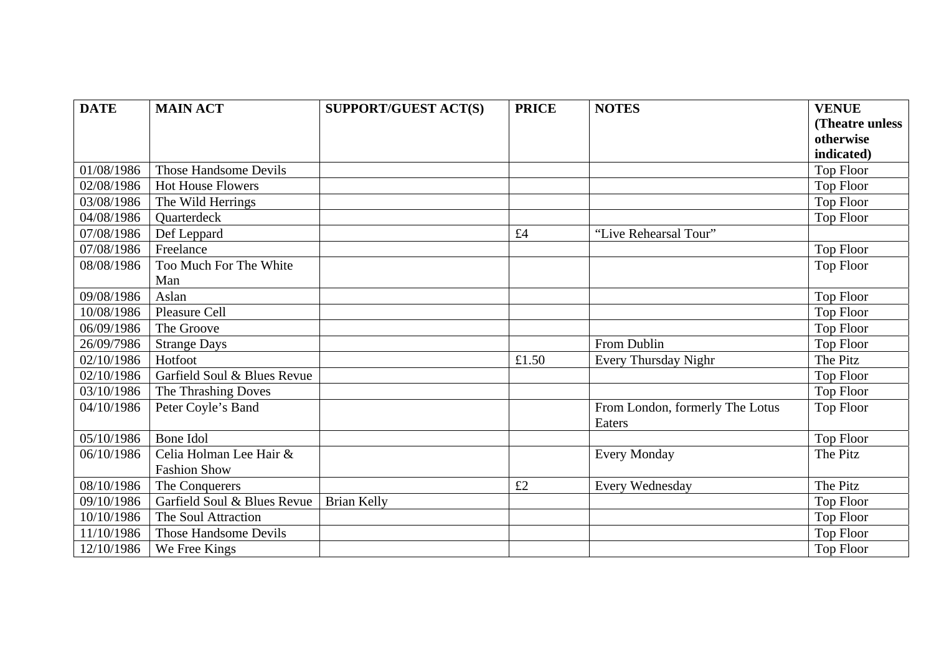| <b>DATE</b> | <b>MAIN ACT</b>             | <b>SUPPORT/GUEST ACT(S)</b> | <b>PRICE</b> | <b>NOTES</b>                              | <b>VENUE</b>     |
|-------------|-----------------------------|-----------------------------|--------------|-------------------------------------------|------------------|
|             |                             |                             |              |                                           | (Theatre unless  |
|             |                             |                             |              |                                           | otherwise        |
|             |                             |                             |              |                                           | indicated)       |
| 01/08/1986  | Those Handsome Devils       |                             |              |                                           | <b>Top Floor</b> |
| 02/08/1986  | <b>Hot House Flowers</b>    |                             |              |                                           | Top Floor        |
| 03/08/1986  | The Wild Herrings           |                             |              |                                           | <b>Top Floor</b> |
| 04/08/1986  | Quarterdeck                 |                             |              |                                           | Top Floor        |
| 07/08/1986  | Def Leppard                 |                             | £4           | "Live Rehearsal Tour"                     |                  |
| 07/08/1986  | Freelance                   |                             |              |                                           | <b>Top Floor</b> |
| 08/08/1986  | Too Much For The White      |                             |              |                                           | Top Floor        |
|             | Man                         |                             |              |                                           |                  |
| 09/08/1986  | Aslan                       |                             |              |                                           | Top Floor        |
| 10/08/1986  | Pleasure Cell               |                             |              |                                           | <b>Top Floor</b> |
| 06/09/1986  | The Groove                  |                             |              |                                           | Top Floor        |
| 26/09/7986  | <b>Strange Days</b>         |                             |              | From Dublin                               | Top Floor        |
| 02/10/1986  | Hotfoot                     |                             | £1.50        | Every Thursday Nighr                      | The Pitz         |
| 02/10/1986  | Garfield Soul & Blues Revue |                             |              |                                           | Top Floor        |
| 03/10/1986  | The Thrashing Doves         |                             |              |                                           | <b>Top Floor</b> |
| 04/10/1986  | Peter Coyle's Band          |                             |              | From London, formerly The Lotus<br>Eaters | <b>Top Floor</b> |
| 05/10/1986  | Bone Idol                   |                             |              |                                           | <b>Top Floor</b> |
| 06/10/1986  | Celia Holman Lee Hair &     |                             |              | <b>Every Monday</b>                       | The Pitz         |
|             | <b>Fashion Show</b>         |                             |              |                                           |                  |
| 08/10/1986  | The Conquerers              |                             | £2           | Every Wednesday                           | The Pitz         |
| 09/10/1986  | Garfield Soul & Blues Revue | <b>Brian Kelly</b>          |              |                                           | <b>Top Floor</b> |
| 10/10/1986  | The Soul Attraction         |                             |              |                                           | Top Floor        |
| 11/10/1986  | Those Handsome Devils       |                             |              |                                           | <b>Top Floor</b> |
| 12/10/1986  | We Free Kings               |                             |              |                                           | <b>Top Floor</b> |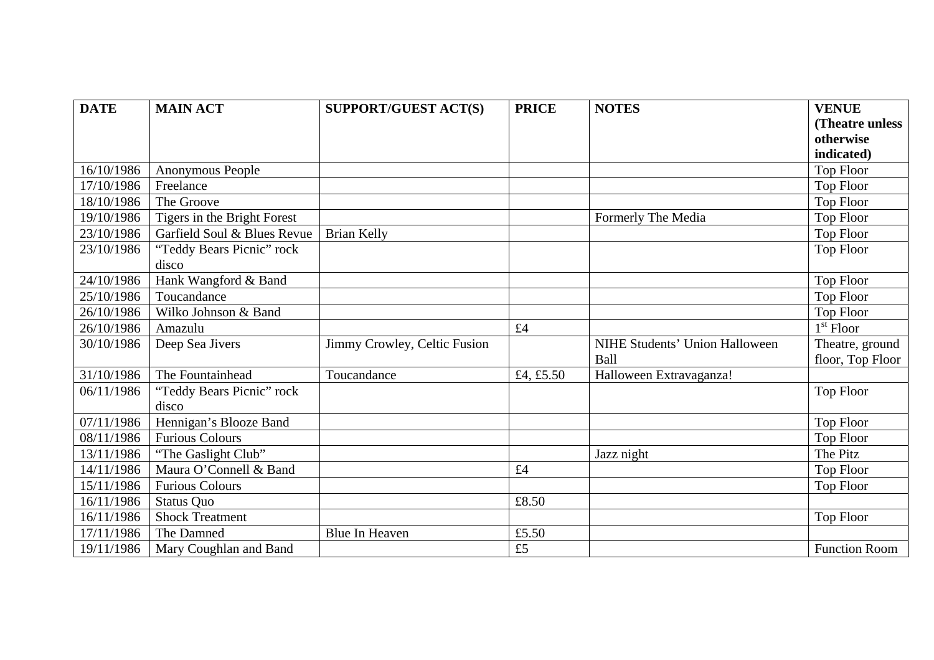| <b>DATE</b> | <b>MAIN ACT</b>             | <b>SUPPORT/GUEST ACT(S)</b>  | <b>PRICE</b> | <b>NOTES</b>                   | <b>VENUE</b>         |
|-------------|-----------------------------|------------------------------|--------------|--------------------------------|----------------------|
|             |                             |                              |              |                                | (Theatre unless      |
|             |                             |                              |              |                                | otherwise            |
|             |                             |                              |              |                                | indicated)           |
| 16/10/1986  | Anonymous People            |                              |              |                                | <b>Top Floor</b>     |
| 17/10/1986  | Freelance                   |                              |              |                                | <b>Top Floor</b>     |
| 18/10/1986  | The Groove                  |                              |              |                                | <b>Top Floor</b>     |
| 19/10/1986  | Tigers in the Bright Forest |                              |              | Formerly The Media             | Top Floor            |
| 23/10/1986  | Garfield Soul & Blues Revue | <b>Brian Kelly</b>           |              |                                | <b>Top Floor</b>     |
| 23/10/1986  | "Teddy Bears Picnic" rock   |                              |              |                                | Top Floor            |
|             | disco                       |                              |              |                                |                      |
| 24/10/1986  | Hank Wangford & Band        |                              |              |                                | <b>Top Floor</b>     |
| 25/10/1986  | Toucandance                 |                              |              |                                | Top Floor            |
| 26/10/1986  | Wilko Johnson & Band        |                              |              |                                | <b>Top Floor</b>     |
| 26/10/1986  | Amazulu                     |                              | £4           |                                | $1st$ Floor          |
| 30/10/1986  | Deep Sea Jivers             | Jimmy Crowley, Celtic Fusion |              | NIHE Students' Union Halloween | Theatre, ground      |
|             |                             |                              |              | <b>Ball</b>                    | floor, Top Floor     |
| 31/10/1986  | The Fountainhead            | Toucandance                  | £4, £5.50    | Halloween Extravaganza!        |                      |
| 06/11/1986  | "Teddy Bears Picnic" rock   |                              |              |                                | Top Floor            |
|             | disco                       |                              |              |                                |                      |
| 07/11/1986  | Hennigan's Blooze Band      |                              |              |                                | Top Floor            |
| 08/11/1986  | <b>Furious Colours</b>      |                              |              |                                | <b>Top Floor</b>     |
| 13/11/1986  | "The Gaslight Club"         |                              |              | Jazz night                     | The Pitz             |
| 14/11/1986  | Maura O'Connell & Band      |                              | £4           |                                | Top Floor            |
| 15/11/1986  | <b>Furious Colours</b>      |                              |              |                                | Top Floor            |
| 16/11/1986  | <b>Status Quo</b>           |                              | £8.50        |                                |                      |
| 16/11/1986  | <b>Shock Treatment</b>      |                              |              |                                | Top Floor            |
| 17/11/1986  | The Damned                  | <b>Blue In Heaven</b>        | £5.50        |                                |                      |
| 19/11/1986  | Mary Coughlan and Band      |                              | £5           |                                | <b>Function Room</b> |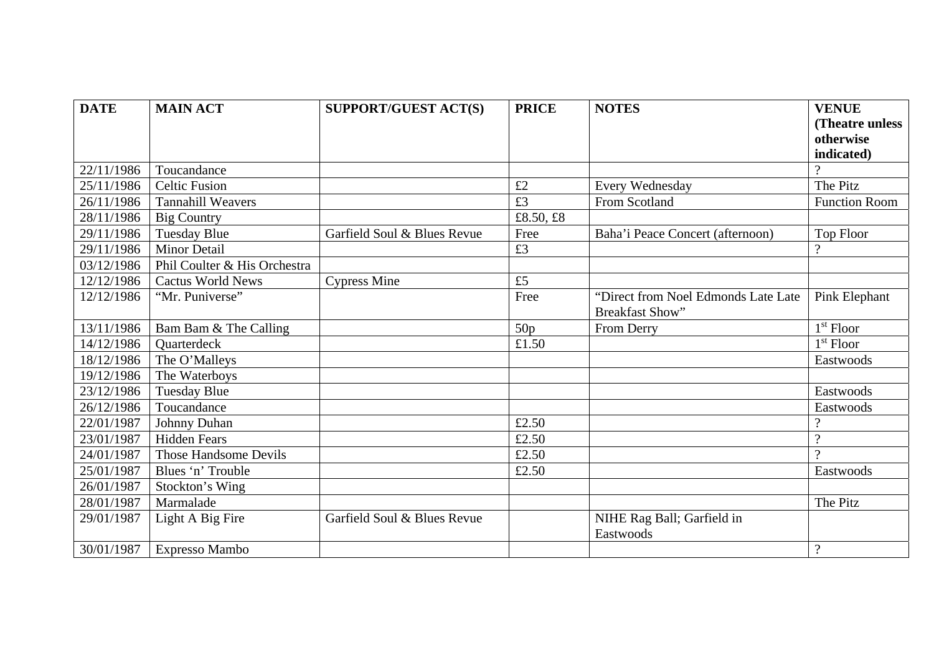| <b>DATE</b> | <b>MAIN ACT</b>              | <b>SUPPORT/GUEST ACT(S)</b> | <b>PRICE</b> | <b>NOTES</b>                                                  | <b>VENUE</b>         |
|-------------|------------------------------|-----------------------------|--------------|---------------------------------------------------------------|----------------------|
|             |                              |                             |              |                                                               | (Theatre unless      |
|             |                              |                             |              |                                                               | otherwise            |
|             |                              |                             |              |                                                               | indicated)           |
| 22/11/1986  | Toucandance                  |                             |              |                                                               |                      |
| 25/11/1986  | <b>Celtic Fusion</b>         |                             | £2           | Every Wednesday                                               | The Pitz             |
| 26/11/1986  | <b>Tannahill Weavers</b>     |                             | £3           | From Scotland                                                 | <b>Function Room</b> |
| 28/11/1986  | <b>Big Country</b>           |                             | £8.50, £8    |                                                               |                      |
| 29/11/1986  | <b>Tuesday Blue</b>          | Garfield Soul & Blues Revue | Free         | Baha'i Peace Concert (afternoon)                              | Top Floor            |
| 29/11/1986  | <b>Minor Detail</b>          |                             | £3           |                                                               | $\mathcal{D}$        |
| 03/12/1986  | Phil Coulter & His Orchestra |                             |              |                                                               |                      |
| 12/12/1986  | <b>Cactus World News</b>     | <b>Cypress Mine</b>         | £5           |                                                               |                      |
| 12/12/1986  | "Mr. Puniverse"              |                             | Free         | "Direct from Noel Edmonds Late Late<br><b>Breakfast Show"</b> | Pink Elephant        |
| 13/11/1986  | Bam Bam & The Calling        |                             | 50p          | From Derry                                                    | $1st$ Floor          |
| 14/12/1986  | <b>Ouarterdeck</b>           |                             | £1.50        |                                                               | $1st$ Floor          |
| 18/12/1986  | The O'Malleys                |                             |              |                                                               | Eastwoods            |
| 19/12/1986  | The Waterboys                |                             |              |                                                               |                      |
| 23/12/1986  | <b>Tuesday Blue</b>          |                             |              |                                                               | Eastwoods            |
| 26/12/1986  | Toucandance                  |                             |              |                                                               | Eastwoods            |
| 22/01/1987  | Johnny Duhan                 |                             | £2.50        |                                                               | $\Omega$             |
| 23/01/1987  | <b>Hidden Fears</b>          |                             | £2.50        |                                                               | $\Omega$             |
| 24/01/1987  | <b>Those Handsome Devils</b> |                             | £2.50        |                                                               | $\Omega$             |
| 25/01/1987  | Blues 'n' Trouble            |                             | £2.50        |                                                               | Eastwoods            |
| 26/01/1987  | Stockton's Wing              |                             |              |                                                               |                      |
| 28/01/1987  | Marmalade                    |                             |              |                                                               | The Pitz             |
| 29/01/1987  | Light A Big Fire             | Garfield Soul & Blues Revue |              | NIHE Rag Ball; Garfield in<br>Eastwoods                       |                      |
| 30/01/1987  | Expresso Mambo               |                             |              |                                                               | $\gamma$             |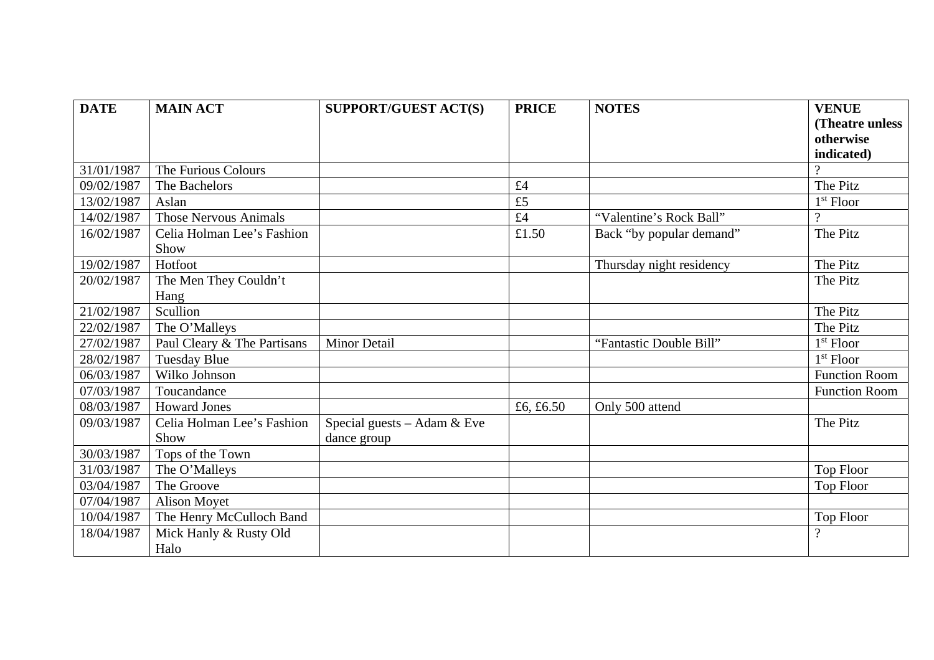| <b>DATE</b> | <b>MAIN ACT</b>              | <b>SUPPORT/GUEST ACT(S)</b>   | <b>PRICE</b> | <b>NOTES</b>             | <b>VENUE</b>         |
|-------------|------------------------------|-------------------------------|--------------|--------------------------|----------------------|
|             |                              |                               |              |                          | (Theatre unless      |
|             |                              |                               |              |                          | otherwise            |
|             |                              |                               |              |                          | indicated)           |
| 31/01/1987  | The Furious Colours          |                               |              |                          |                      |
| 09/02/1987  | The Bachelors                |                               | £4           |                          | The Pitz             |
| 13/02/1987  | Aslan                        |                               | £5           |                          | $1st$ Floor          |
| 14/02/1987  | <b>Those Nervous Animals</b> |                               | £4           | "Valentine's Rock Ball"  | $\gamma$             |
| 16/02/1987  | Celia Holman Lee's Fashion   |                               | £1.50        | Back "by popular demand" | The Pitz             |
|             | Show                         |                               |              |                          |                      |
| 19/02/1987  | Hotfoot                      |                               |              | Thursday night residency | The Pitz             |
| 20/02/1987  | The Men They Couldn't        |                               |              |                          | The Pitz             |
|             | Hang                         |                               |              |                          |                      |
| 21/02/1987  | Scullion                     |                               |              |                          | The Pitz             |
| 22/02/1987  | The O'Malleys                |                               |              |                          | The Pitz             |
| 27/02/1987  | Paul Cleary & The Partisans  | <b>Minor Detail</b>           |              | "Fantastic Double Bill"  | $1st$ Floor          |
| 28/02/1987  | <b>Tuesday Blue</b>          |                               |              |                          | $1st$ Floor          |
| 06/03/1987  | Wilko Johnson                |                               |              |                          | <b>Function Room</b> |
| 07/03/1987  | Toucandance                  |                               |              |                          | <b>Function Room</b> |
| 08/03/1987  | <b>Howard Jones</b>          |                               | £6, £6.50    | Only 500 attend          |                      |
| 09/03/1987  | Celia Holman Lee's Fashion   | Special guests $-$ Adam & Eve |              |                          | The Pitz             |
|             | Show                         | dance group                   |              |                          |                      |
| 30/03/1987  | Tops of the Town             |                               |              |                          |                      |
| 31/03/1987  | The O'Malleys                |                               |              |                          | Top Floor            |
| 03/04/1987  | The Groove                   |                               |              |                          | Top Floor            |
| 07/04/1987  | <b>Alison Moyet</b>          |                               |              |                          |                      |
| 10/04/1987  | The Henry McCulloch Band     |                               |              |                          | Top Floor            |
| 18/04/1987  | Mick Hanly & Rusty Old       |                               |              |                          | $\overline{?}$       |
|             | Halo                         |                               |              |                          |                      |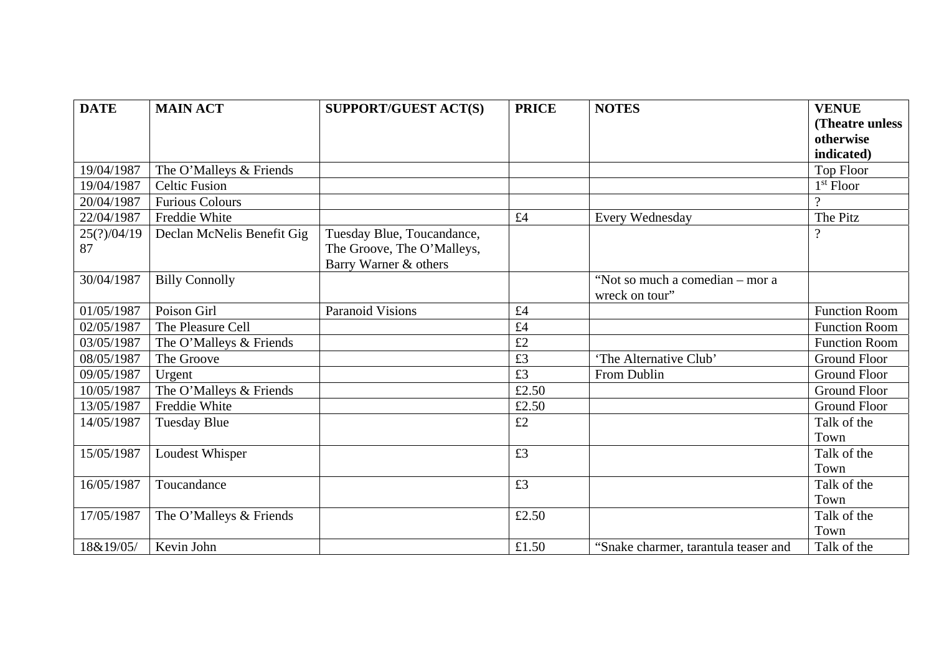| <b>DATE</b> | <b>MAIN ACT</b>            | <b>SUPPORT/GUEST ACT(S)</b> | <b>PRICE</b>    | <b>NOTES</b>                                      | <b>VENUE</b>         |
|-------------|----------------------------|-----------------------------|-----------------|---------------------------------------------------|----------------------|
|             |                            |                             |                 |                                                   | (Theatre unless)     |
|             |                            |                             |                 |                                                   | otherwise            |
|             |                            |                             |                 |                                                   | indicated)           |
| 19/04/1987  | The O'Malleys & Friends    |                             |                 |                                                   | Top Floor            |
| 19/04/1987  | <b>Celtic Fusion</b>       |                             |                 |                                                   | $1st$ Floor          |
| 20/04/1987  | <b>Furious Colours</b>     |                             |                 |                                                   | $\Omega$             |
| 22/04/1987  | Freddie White              |                             | £4              | Every Wednesday                                   | The Pitz             |
| 25(?)/04/19 | Declan McNelis Benefit Gig | Tuesday Blue, Toucandance,  |                 |                                                   | $\gamma$             |
| 87          |                            | The Groove, The O'Malleys,  |                 |                                                   |                      |
|             |                            | Barry Warner & others       |                 |                                                   |                      |
| 30/04/1987  | <b>Billy Connolly</b>      |                             |                 | "Not so much a comedian – mor a<br>wreck on tour" |                      |
| 01/05/1987  | Poison Girl                | <b>Paranoid Visions</b>     | £4              |                                                   | <b>Function Room</b> |
| 02/05/1987  | The Pleasure Cell          |                             | £4              |                                                   | <b>Function Room</b> |
| 03/05/1987  | The O'Malleys & Friends    |                             | £2              |                                                   | <b>Function Room</b> |
| 08/05/1987  | The Groove                 |                             | £3              | 'The Alternative Club'                            | <b>Ground Floor</b>  |
| 09/05/1987  | Urgent                     |                             | $\overline{f3}$ | From Dublin                                       | <b>Ground Floor</b>  |
| 10/05/1987  | The O'Malleys & Friends    |                             | £2.50           |                                                   | <b>Ground Floor</b>  |
| 13/05/1987  | Freddie White              |                             | £2.50           |                                                   | <b>Ground Floor</b>  |
| 14/05/1987  | <b>Tuesday Blue</b>        |                             | £2              |                                                   | Talk of the          |
|             |                            |                             |                 |                                                   | Town                 |
| 15/05/1987  | Loudest Whisper            |                             | £3              |                                                   | Talk of the          |
|             |                            |                             |                 |                                                   | Town                 |
| 16/05/1987  | Toucandance                |                             | £3              |                                                   | Talk of the          |
|             |                            |                             |                 |                                                   | Town                 |
| 17/05/1987  | The O'Malleys & Friends    |                             | £2.50           |                                                   | Talk of the          |
|             |                            |                             |                 |                                                   | Town                 |
| 18&19/05/   | Kevin John                 |                             | £1.50           | "Snake charmer, tarantula teaser and              | Talk of the          |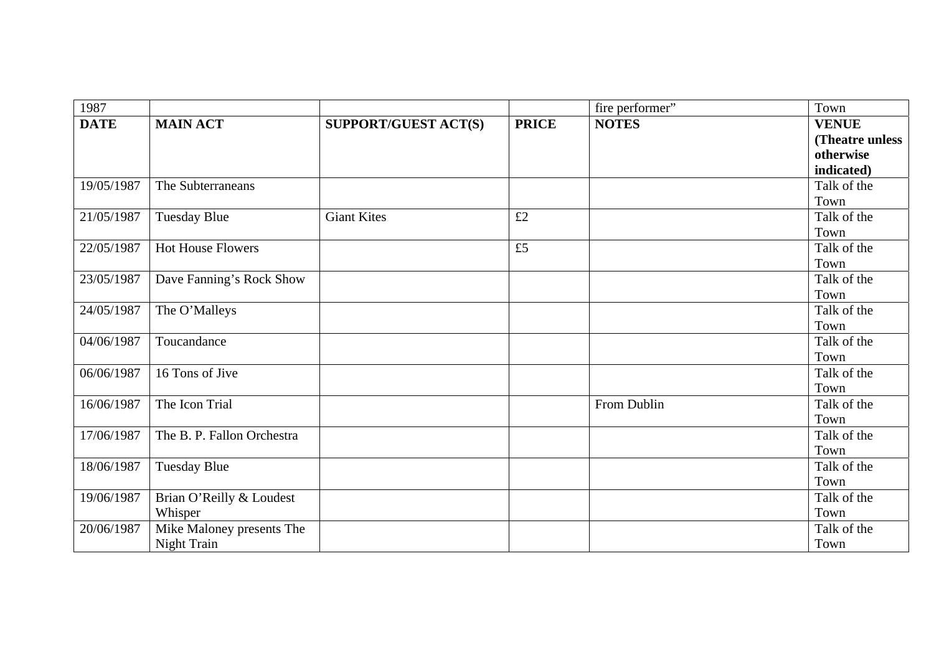| 1987        |                            |                             |              | fire performer" | Town            |
|-------------|----------------------------|-----------------------------|--------------|-----------------|-----------------|
| <b>DATE</b> | <b>MAIN ACT</b>            | <b>SUPPORT/GUEST ACT(S)</b> | <b>PRICE</b> | <b>NOTES</b>    | <b>VENUE</b>    |
|             |                            |                             |              |                 | (Theatre unless |
|             |                            |                             |              |                 | otherwise       |
|             |                            |                             |              |                 | indicated)      |
| 19/05/1987  | The Subterraneans          |                             |              |                 | Talk of the     |
|             |                            |                             |              |                 | Town            |
| 21/05/1987  | <b>Tuesday Blue</b>        | <b>Giant Kites</b>          | £2           |                 | Talk of the     |
|             |                            |                             |              |                 | Town            |
| 22/05/1987  | <b>Hot House Flowers</b>   |                             | £5           |                 | Talk of the     |
|             |                            |                             |              |                 | Town            |
| 23/05/1987  | Dave Fanning's Rock Show   |                             |              |                 | Talk of the     |
|             |                            |                             |              |                 | Town            |
| 24/05/1987  | The O'Malleys              |                             |              |                 | Talk of the     |
|             |                            |                             |              |                 | Town            |
| 04/06/1987  | Toucandance                |                             |              |                 | Talk of the     |
|             |                            |                             |              |                 | Town            |
| 06/06/1987  | 16 Tons of Jive            |                             |              |                 | Talk of the     |
|             |                            |                             |              |                 | Town            |
| 16/06/1987  | The Icon Trial             |                             |              | From Dublin     | Talk of the     |
|             |                            |                             |              |                 | Town            |
| 17/06/1987  | The B. P. Fallon Orchestra |                             |              |                 | Talk of the     |
|             |                            |                             |              |                 | Town            |
| 18/06/1987  | Tuesday Blue               |                             |              |                 | Talk of the     |
|             |                            |                             |              |                 | Town            |
| 19/06/1987  | Brian O'Reilly & Loudest   |                             |              |                 | Talk of the     |
|             | Whisper                    |                             |              |                 | Town            |
| 20/06/1987  | Mike Maloney presents The  |                             |              |                 | Talk of the     |
|             | <b>Night Train</b>         |                             |              |                 | Town            |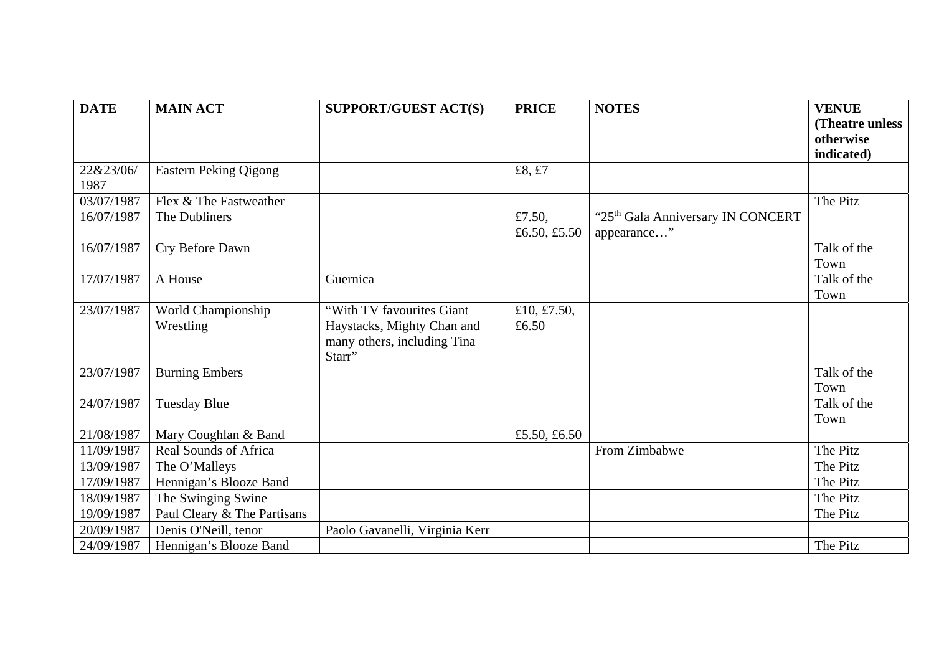| <b>DATE</b> | <b>MAIN ACT</b>              | <b>SUPPORT/GUEST ACT(S)</b>    | <b>PRICE</b> | <b>NOTES</b>                                  | <b>VENUE</b>    |
|-------------|------------------------------|--------------------------------|--------------|-----------------------------------------------|-----------------|
|             |                              |                                |              |                                               | (Theatre unless |
|             |                              |                                |              |                                               | otherwise       |
|             |                              |                                |              |                                               | indicated)      |
| 22&23/06/   | <b>Eastern Peking Qigong</b> |                                | £8, £7       |                                               |                 |
| 1987        |                              |                                |              |                                               |                 |
| 03/07/1987  | Flex & The Fastweather       |                                |              |                                               | The Pitz        |
| 16/07/1987  | The Dubliners                |                                | £7.50,       | "25 <sup>th</sup> Gala Anniversary IN CONCERT |                 |
|             |                              |                                | £6.50, £5.50 | appearance"                                   |                 |
| 16/07/1987  | Cry Before Dawn              |                                |              |                                               | Talk of the     |
|             |                              |                                |              |                                               | Town            |
| 17/07/1987  | A House                      | Guernica                       |              |                                               | Talk of the     |
|             |                              |                                |              |                                               | Town            |
| 23/07/1987  | World Championship           | "With TV favourites Giant      | £10, £7.50,  |                                               |                 |
|             | Wrestling                    | Haystacks, Mighty Chan and     | £6.50        |                                               |                 |
|             |                              | many others, including Tina    |              |                                               |                 |
|             |                              | Starr"                         |              |                                               |                 |
| 23/07/1987  | <b>Burning Embers</b>        |                                |              |                                               | Talk of the     |
|             |                              |                                |              |                                               | Town            |
| 24/07/1987  | <b>Tuesday Blue</b>          |                                |              |                                               | Talk of the     |
|             |                              |                                |              |                                               | Town            |
| 21/08/1987  | Mary Coughlan & Band         |                                | £5.50, £6.50 |                                               |                 |
| 11/09/1987  | Real Sounds of Africa        |                                |              | From Zimbabwe                                 | The Pitz        |
| 13/09/1987  | The O'Malleys                |                                |              |                                               | The Pitz        |
| 17/09/1987  | Hennigan's Blooze Band       |                                |              |                                               | The Pitz        |
| 18/09/1987  | The Swinging Swine           |                                |              |                                               | The Pitz        |
| 19/09/1987  | Paul Cleary & The Partisans  |                                |              |                                               | The Pitz        |
| 20/09/1987  | Denis O'Neill, tenor         | Paolo Gavanelli, Virginia Kerr |              |                                               |                 |
| 24/09/1987  | Hennigan's Blooze Band       |                                |              |                                               | The Pitz        |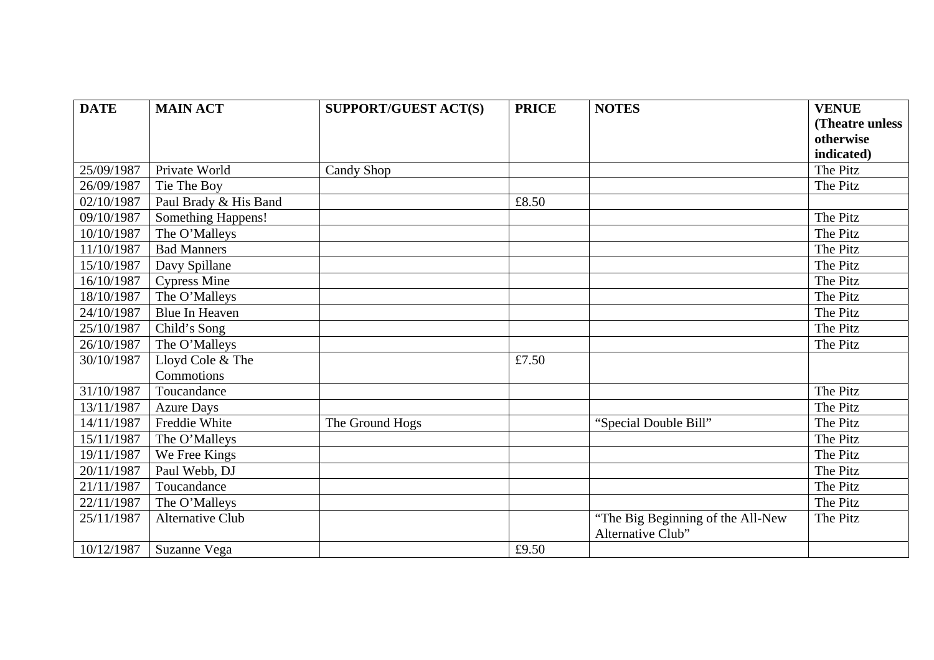| <b>DATE</b> | <b>MAIN ACT</b>       | <b>SUPPORT/GUEST ACT(S)</b> | <b>PRICE</b> | <b>NOTES</b>                                           | <b>VENUE</b>     |
|-------------|-----------------------|-----------------------------|--------------|--------------------------------------------------------|------------------|
|             |                       |                             |              |                                                        | (Theatre unless) |
|             |                       |                             |              |                                                        | otherwise        |
|             |                       |                             |              |                                                        | indicated)       |
| 25/09/1987  | Private World         | Candy Shop                  |              |                                                        | The Pitz         |
| 26/09/1987  | Tie The Boy           |                             |              |                                                        | The Pitz         |
| 02/10/1987  | Paul Brady & His Band |                             | £8.50        |                                                        |                  |
| 09/10/1987  | Something Happens!    |                             |              |                                                        | The Pitz         |
| 10/10/1987  | The O'Malleys         |                             |              |                                                        | The Pitz         |
| 11/10/1987  | <b>Bad Manners</b>    |                             |              |                                                        | The Pitz         |
| 15/10/1987  | Davy Spillane         |                             |              |                                                        | The Pitz         |
| 16/10/1987  | <b>Cypress Mine</b>   |                             |              |                                                        | The Pitz         |
| 18/10/1987  | The O'Malleys         |                             |              |                                                        | The Pitz         |
| 24/10/1987  | Blue In Heaven        |                             |              |                                                        | The Pitz         |
| 25/10/1987  | Child's Song          |                             |              |                                                        | The Pitz         |
| 26/10/1987  | The O'Malleys         |                             |              |                                                        | The Pitz         |
| 30/10/1987  | Lloyd Cole & The      |                             | £7.50        |                                                        |                  |
|             | Commotions            |                             |              |                                                        |                  |
| 31/10/1987  | Toucandance           |                             |              |                                                        | The Pitz         |
| 13/11/1987  | <b>Azure Days</b>     |                             |              |                                                        | The Pitz         |
| 14/11/1987  | Freddie White         | The Ground Hogs             |              | "Special Double Bill"                                  | The Pitz         |
| 15/11/1987  | The O'Malleys         |                             |              |                                                        | The Pitz         |
| 19/11/1987  | We Free Kings         |                             |              |                                                        | The Pitz         |
| 20/11/1987  | Paul Webb, DJ         |                             |              |                                                        | The Pitz         |
| 21/11/1987  | Toucandance           |                             |              |                                                        | The Pitz         |
| 22/11/1987  | The O'Malleys         |                             |              |                                                        | The Pitz         |
| 25/11/1987  | Alternative Club      |                             |              | "The Big Beginning of the All-New<br>Alternative Club" | The Pitz         |
| 10/12/1987  | Suzanne Vega          |                             | £9.50        |                                                        |                  |